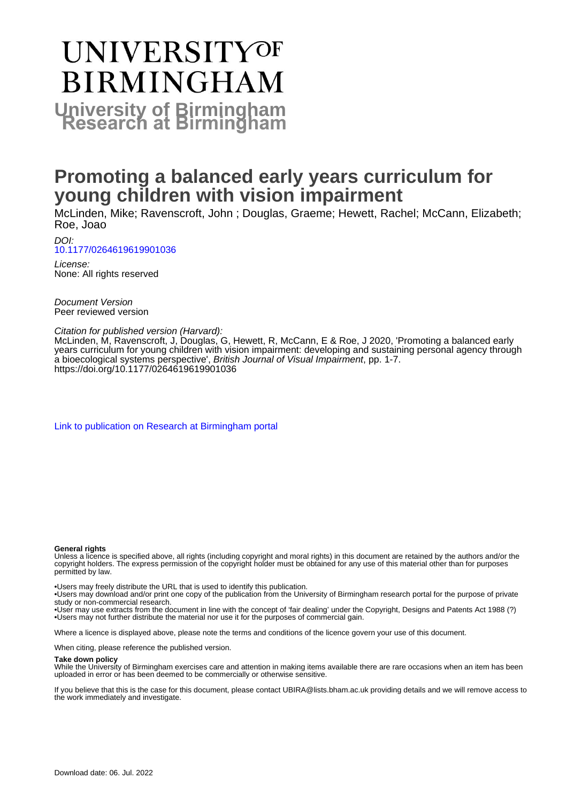# **UNIVERSITYOF BIRMINGHAM University of Birmingham**

## **Promoting a balanced early years curriculum for young children with vision impairment**

McLinden, Mike; Ravenscroft, John ; Douglas, Graeme; Hewett, Rachel; McCann, Elizabeth; Roe, Joao

DOI: [10.1177/0264619619901036](https://doi.org/10.1177/0264619619901036)

License: None: All rights reserved

Document Version Peer reviewed version

Citation for published version (Harvard):

McLinden, M, Ravenscroft, J, Douglas, G, Hewett, R, McCann, E & Roe, J 2020, 'Promoting a balanced early years curriculum for young children with vision impairment: developing and sustaining personal agency through a bioecological systems perspective', British Journal of Visual Impairment, pp. 1-7. <https://doi.org/10.1177/0264619619901036>

[Link to publication on Research at Birmingham portal](https://birmingham.elsevierpure.com/en/publications/2b3419c8-5367-4482-9c6d-ce8db061155f)

#### **General rights**

Unless a licence is specified above, all rights (including copyright and moral rights) in this document are retained by the authors and/or the copyright holders. The express permission of the copyright holder must be obtained for any use of this material other than for purposes permitted by law.

• Users may freely distribute the URL that is used to identify this publication.

• Users may download and/or print one copy of the publication from the University of Birmingham research portal for the purpose of private study or non-commercial research.

• User may use extracts from the document in line with the concept of 'fair dealing' under the Copyright, Designs and Patents Act 1988 (?) • Users may not further distribute the material nor use it for the purposes of commercial gain.

Where a licence is displayed above, please note the terms and conditions of the licence govern your use of this document.

When citing, please reference the published version.

#### **Take down policy**

While the University of Birmingham exercises care and attention in making items available there are rare occasions when an item has been uploaded in error or has been deemed to be commercially or otherwise sensitive.

If you believe that this is the case for this document, please contact UBIRA@lists.bham.ac.uk providing details and we will remove access to the work immediately and investigate.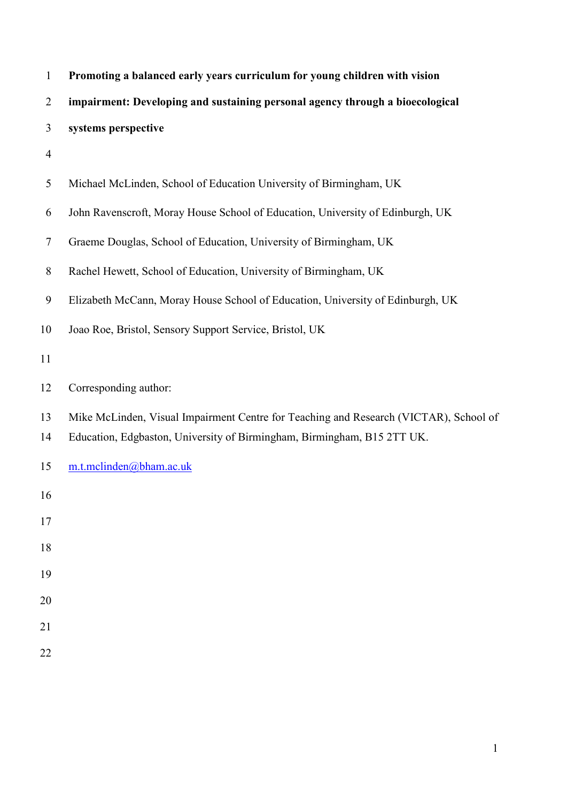| $\mathbf{1}$   | Promoting a balanced early years curriculum for young children with vision            |
|----------------|---------------------------------------------------------------------------------------|
| $\overline{2}$ | impairment: Developing and sustaining personal agency through a bioecological         |
| 3              | systems perspective                                                                   |
| $\overline{4}$ |                                                                                       |
| 5              | Michael McLinden, School of Education University of Birmingham, UK                    |
| 6              | John Ravenscroft, Moray House School of Education, University of Edinburgh, UK        |
| 7              | Graeme Douglas, School of Education, University of Birmingham, UK                     |
| $8\,$          | Rachel Hewett, School of Education, University of Birmingham, UK                      |
| 9              | Elizabeth McCann, Moray House School of Education, University of Edinburgh, UK        |
| 10             | Joao Roe, Bristol, Sensory Support Service, Bristol, UK                               |
| 11             |                                                                                       |
| 12             | Corresponding author:                                                                 |
| 13             | Mike McLinden, Visual Impairment Centre for Teaching and Research (VICTAR), School of |
| 14             | Education, Edgbaston, University of Birmingham, Birmingham, B15 2TT UK.               |
| 15             | m.t.mclinden@bham.ac.uk                                                               |
| 16             |                                                                                       |
| 17             |                                                                                       |
| 18             |                                                                                       |
| 19             |                                                                                       |
| 20             |                                                                                       |
| 21             |                                                                                       |
| 22             |                                                                                       |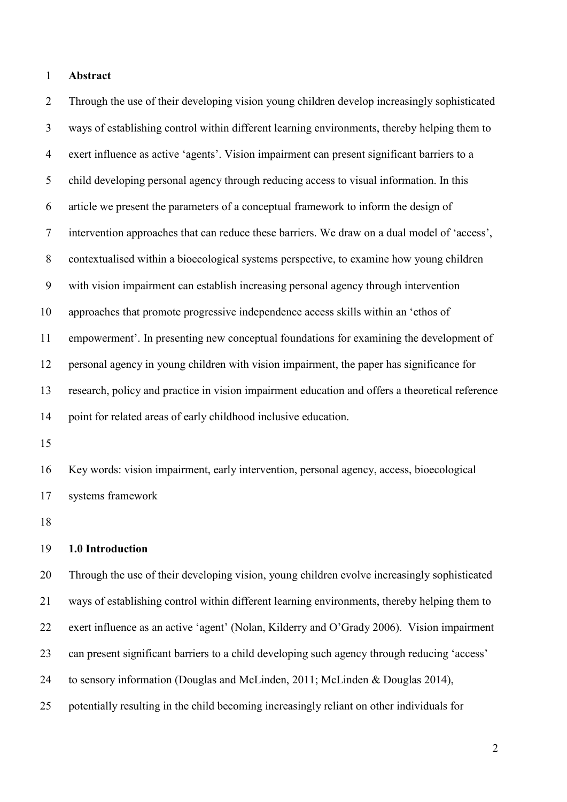### **Abstract**

 Through the use of their developing vision young children develop increasingly sophisticated ways of establishing control within different learning environments, thereby helping them to exert influence as active 'agents'. Vision impairment can present significant barriers to a child developing personal agency through reducing access to visual information. In this article we present the parameters of a conceptual framework to inform the design of intervention approaches that can reduce these barriers. We draw on a dual model of 'access', contextualised within a bioecological systems perspective, to examine how young children with vision impairment can establish increasing personal agency through intervention approaches that promote progressive independence access skills within an 'ethos of empowerment'. In presenting new conceptual foundations for examining the development of personal agency in young children with vision impairment, the paper has significance for research, policy and practice in vision impairment education and offers a theoretical reference point for related areas of early childhood inclusive education.

 Key words: vision impairment, early intervention, personal agency, access, bioecological systems framework

#### **1.0 Introduction**

 Through the use of their developing vision, young children evolve increasingly sophisticated ways of establishing control within different learning environments, thereby helping them to exert influence as an active 'agent' (Nolan, Kilderry and O'Grady 2006). Vision impairment can present significant barriers to a child developing such agency through reducing 'access' to sensory information (Douglas and McLinden, 2011; McLinden & Douglas 2014), potentially resulting in the child becoming increasingly reliant on other individuals for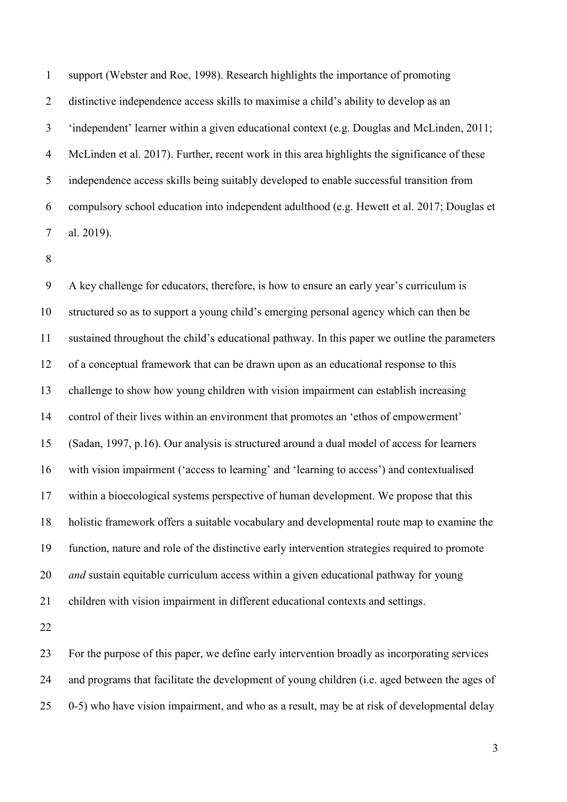support (Webster and Roe, 1998). Research highlights the importance of promoting distinctive independence access skills to maximise a child's ability to develop as an 'independent' learner within a given educational context (e.g. Douglas and McLinden, 2011; McLinden et al. 2017). Further, recent work in this area highlights the significance of these independence access skills being suitably developed to enable successful transition from compulsory school education into independent adulthood (e.g. Hewett et al. 2017; Douglas et al. 2019).

 A key challenge for educators, therefore, is how to ensure an early year's curriculum is structured so as to support a young child's emerging personal agency which can then be sustained throughout the child's educational pathway. In this paper we outline the parameters of a conceptual framework that can be drawn upon as an educational response to this challenge to show how young children with vision impairment can establish increasing control of their lives within an environment that promotes an 'ethos of empowerment' (Sadan, 1997, p.16). Our analysis is structured around a dual model of access for learners with vision impairment ('access to learning' and 'learning to access') and contextualised within a bioecological systems perspective of human development. We propose that this holistic framework offers a suitable vocabulary and developmental route map to examine the function, nature and role of the distinctive early intervention strategies required to promote *and* sustain equitable curriculum access within a given educational pathway for young children with vision impairment in different educational contexts and settings.

 For the purpose of this paper, we define early intervention broadly as incorporating services and programs that facilitate the development of young children (i.e. aged between the ages of 0-5) who have vision impairment, and who as a result, may be at risk of developmental delay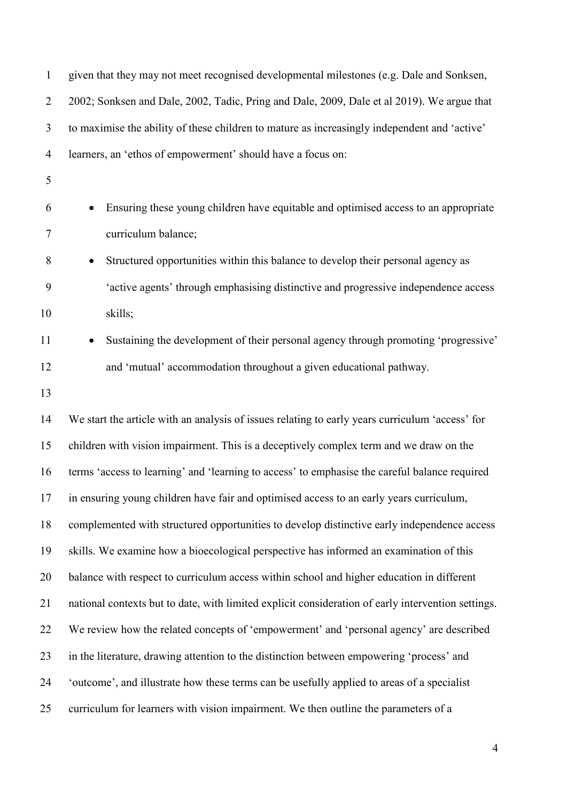| $\mathbf{1}$   | given that they may not meet recognised developmental milestones (e.g. Dale and Sonksen,           |  |
|----------------|----------------------------------------------------------------------------------------------------|--|
| $\overline{2}$ | 2002; Sonksen and Dale, 2002, Tadic, Pring and Dale, 2009, Dale et al 2019). We argue that         |  |
| 3              | to maximise the ability of these children to mature as increasingly independent and 'active'       |  |
| $\overline{4}$ | learners, an 'ethos of empowerment' should have a focus on:                                        |  |
| 5              |                                                                                                    |  |
| 6              | Ensuring these young children have equitable and optimised access to an appropriate                |  |
| 7              | curriculum balance;                                                                                |  |
| 8              | Structured opportunities within this balance to develop their personal agency as<br>$\bullet$      |  |
| 9              | 'active agents' through emphasising distinctive and progressive independence access                |  |
| 10             | skills;                                                                                            |  |
| 11             | Sustaining the development of their personal agency through promoting 'progressive'<br>$\bullet$   |  |
| 12             | and 'mutual' accommodation throughout a given educational pathway.                                 |  |
| 13             |                                                                                                    |  |
| 14             | We start the article with an analysis of issues relating to early years curriculum 'access' for    |  |
| 15             | children with vision impairment. This is a deceptively complex term and we draw on the             |  |
| 16             | terms 'access to learning' and 'learning to access' to emphasise the careful balance required      |  |
| 17             | in ensuring young children have fair and optimised access to an early years curriculum,            |  |
| 18             | complemented with structured opportunities to develop distinctive early independence access        |  |
| 19             | skills. We examine how a bioecological perspective has informed an examination of this             |  |
| 20             | balance with respect to curriculum access within school and higher education in different          |  |
| 21             | national contexts but to date, with limited explicit consideration of early intervention settings. |  |
| 22             | We review how the related concepts of 'empowerment' and 'personal agency' are described            |  |
| 23             | in the literature, drawing attention to the distinction between empowering 'process' and           |  |
| 24             | 'outcome', and illustrate how these terms can be usefully applied to areas of a specialist         |  |
| 25             | curriculum for learners with vision impairment. We then outline the parameters of a                |  |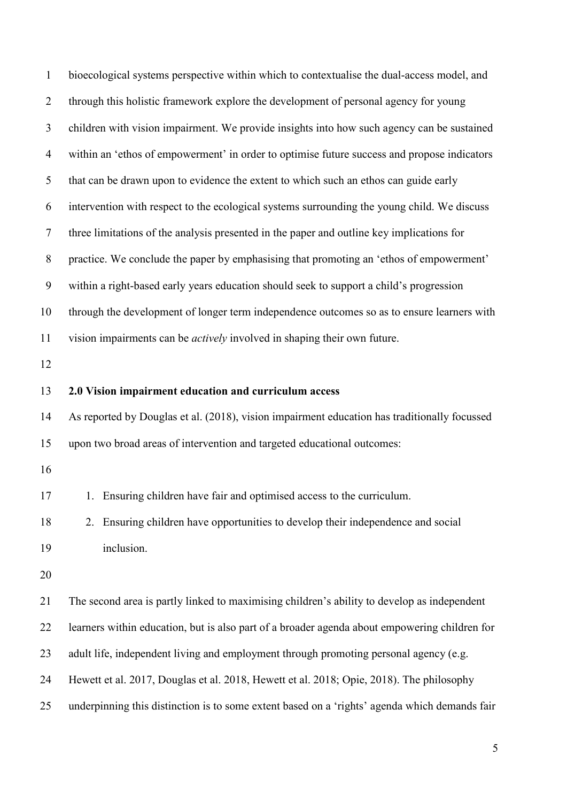| $\mathbf{1}$   | bioecological systems perspective within which to contextualise the dual-access model, and    |
|----------------|-----------------------------------------------------------------------------------------------|
| $\overline{2}$ | through this holistic framework explore the development of personal agency for young          |
| 3              | children with vision impairment. We provide insights into how such agency can be sustained    |
| $\overline{4}$ | within an 'ethos of empowerment' in order to optimise future success and propose indicators   |
| 5              | that can be drawn upon to evidence the extent to which such an ethos can guide early          |
| 6              | intervention with respect to the ecological systems surrounding the young child. We discuss   |
| $\tau$         | three limitations of the analysis presented in the paper and outline key implications for     |
| $8\,$          | practice. We conclude the paper by emphasising that promoting an 'ethos of empowerment'       |
| 9              | within a right-based early years education should seek to support a child's progression       |
| 10             | through the development of longer term independence outcomes so as to ensure learners with    |
| 11             | vision impairments can be <i>actively</i> involved in shaping their own future.               |
| 12             |                                                                                               |
| 13             | 2.0 Vision impairment education and curriculum access                                         |
| 14             | As reported by Douglas et al. (2018), vision impairment education has traditionally focussed  |
| 15             | upon two broad areas of intervention and targeted educational outcomes:                       |
| 16             |                                                                                               |
| 17             | 1. Ensuring children have fair and optimised access to the curriculum.                        |
| 18             | 2. Ensuring children have opportunities to develop their independence and social              |
| 19             | inclusion.                                                                                    |
| 20             |                                                                                               |
| 21             | The second area is partly linked to maximising children's ability to develop as independent   |
| 22             | learners within education, but is also part of a broader agenda about empowering children for |
| 23             | adult life, independent living and employment through promoting personal agency (e.g.         |
| 24             | Hewett et al. 2017, Douglas et al. 2018, Hewett et al. 2018; Opie, 2018). The philosophy      |
| 25             | underpinning this distinction is to some extent based on a 'rights' agenda which demands fair |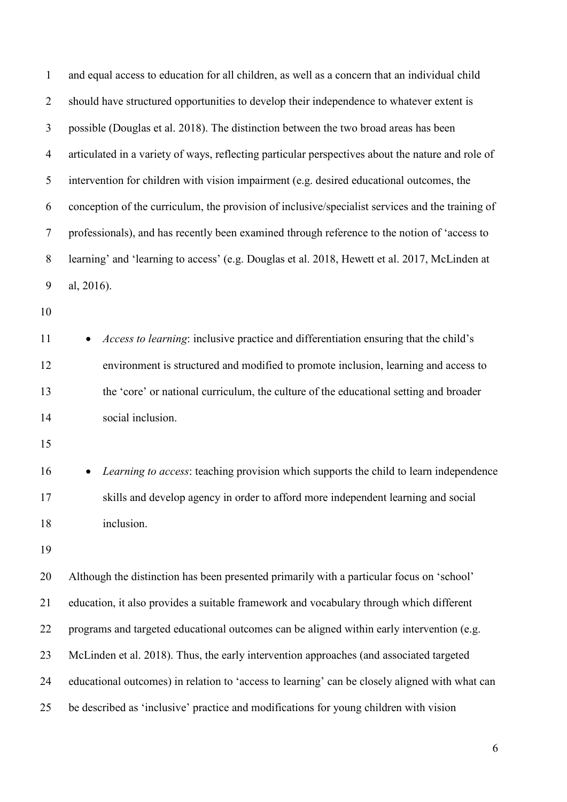| $\mathbf{1}$   | and equal access to education for all children, as well as a concern that an individual child     |  |
|----------------|---------------------------------------------------------------------------------------------------|--|
| $\overline{2}$ | should have structured opportunities to develop their independence to whatever extent is          |  |
| 3              | possible (Douglas et al. 2018). The distinction between the two broad areas has been              |  |
| $\overline{4}$ | articulated in a variety of ways, reflecting particular perspectives about the nature and role of |  |
| 5              | intervention for children with vision impairment (e.g. desired educational outcomes, the          |  |
| 6              | conception of the curriculum, the provision of inclusive/specialist services and the training of  |  |
| 7              | professionals), and has recently been examined through reference to the notion of 'access to      |  |
| 8              | learning' and 'learning to access' (e.g. Douglas et al. 2018, Hewett et al. 2017, McLinden at     |  |
| 9              | al, 2016).                                                                                        |  |
| 10             |                                                                                                   |  |
| 11             | Access to learning: inclusive practice and differentiation ensuring that the child's              |  |
| 12             | environment is structured and modified to promote inclusion, learning and access to               |  |
| 13             | the 'core' or national curriculum, the culture of the educational setting and broader             |  |
| 14             | social inclusion.                                                                                 |  |
| 15             |                                                                                                   |  |
| 16             | Learning to access: teaching provision which supports the child to learn independence             |  |
| 17             | skills and develop agency in order to afford more independent learning and social                 |  |
| 18             | inclusion.                                                                                        |  |
| 19             |                                                                                                   |  |
| 20             | Although the distinction has been presented primarily with a particular focus on 'school'         |  |
| 21             | education, it also provides a suitable framework and vocabulary through which different           |  |
| 22             | programs and targeted educational outcomes can be aligned within early intervention (e.g.         |  |
| 23             | McLinden et al. 2018). Thus, the early intervention approaches (and associated targeted           |  |
| 24             | educational outcomes) in relation to 'access to learning' can be closely aligned with what can    |  |
| 25             | be described as 'inclusive' practice and modifications for young children with vision             |  |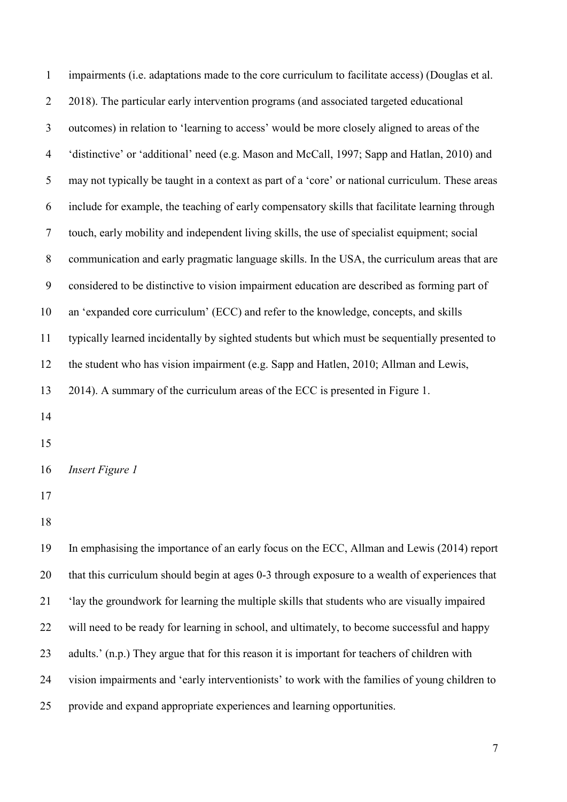| $\mathbf{1}$             | impairments (i.e. adaptations made to the core curriculum to facilitate access) (Douglas et al.  |
|--------------------------|--------------------------------------------------------------------------------------------------|
| $\overline{2}$           | 2018). The particular early intervention programs (and associated targeted educational           |
| 3                        | outcomes) in relation to 'learning to access' would be more closely aligned to areas of the      |
| $\overline{\mathcal{A}}$ | 'distinctive' or 'additional' need (e.g. Mason and McCall, 1997; Sapp and Hatlan, 2010) and      |
| 5                        | may not typically be taught in a context as part of a 'core' or national curriculum. These areas |
| 6                        | include for example, the teaching of early compensatory skills that facilitate learning through  |
| $\tau$                   | touch, early mobility and independent living skills, the use of specialist equipment; social     |
| $8\phantom{.}$           | communication and early pragmatic language skills. In the USA, the curriculum areas that are     |
| $\boldsymbol{9}$         | considered to be distinctive to vision impairment education are described as forming part of     |
| 10                       | an 'expanded core curriculum' (ECC) and refer to the knowledge, concepts, and skills             |
| 11                       | typically learned incidentally by sighted students but which must be sequentially presented to   |
| 12                       | the student who has vision impairment (e.g. Sapp and Hatlen, 2010; Allman and Lewis,             |
| 13                       | 2014). A summary of the curriculum areas of the ECC is presented in Figure 1.                    |
| 14                       |                                                                                                  |
| 15                       |                                                                                                  |
| 16                       | Insert Figure 1                                                                                  |
| 17                       |                                                                                                  |
| 18                       |                                                                                                  |
| 19                       | In emphasising the importance of an early focus on the ECC, Allman and Lewis (2014) report       |
| 20                       | that this curriculum should begin at ages 0-3 through exposure to a wealth of experiences that   |
| 21                       | 'lay the groundwork for learning the multiple skills that students who are visually impaired     |
| 22                       | will need to be ready for learning in school, and ultimately, to become successful and happy     |
| 23                       | adults.' (n.p.) They argue that for this reason it is important for teachers of children with    |
| 24                       | vision impairments and 'early interventionists' to work with the families of young children to   |
| 25                       | provide and expand appropriate experiences and learning opportunities.                           |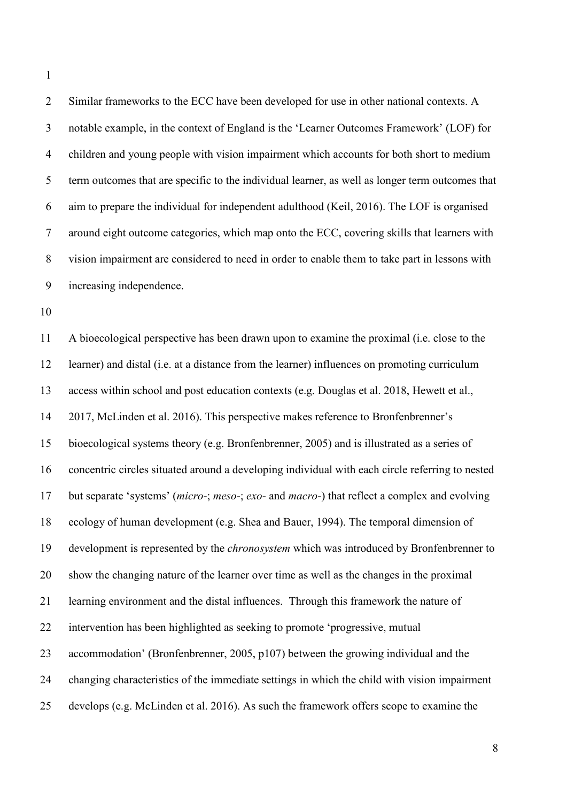Similar frameworks to the ECC have been developed for use in other national contexts. A notable example, in the context of England is the 'Learner Outcomes Framework' (LOF) for children and young people with vision impairment which accounts for both short to medium term outcomes that are specific to the individual learner, as well as longer term outcomes that aim to prepare the individual for independent adulthood (Keil, 2016). The LOF is organised around eight outcome categories, which map onto the ECC, covering skills that learners with vision impairment are considered to need in order to enable them to take part in lessons with increasing independence.

 A bioecological perspective has been drawn upon to examine the proximal (i.e. close to the learner) and distal (i.e. at a distance from the learner) influences on promoting curriculum access within school and post education contexts (e.g. Douglas et al. 2018, Hewett et al., 2017, McLinden et al. 2016). This perspective makes reference to Bronfenbrenner's bioecological systems theory (e.g. Bronfenbrenner, 2005) and is illustrated as a series of concentric circles situated around a developing individual with each circle referring to nested but separate 'systems' (*micro*-; *meso*-; *exo*- and *macro*-) that reflect a complex and evolving ecology of human development (e.g. Shea and Bauer, 1994). The temporal dimension of development is represented by the *chronosystem* which was introduced by Bronfenbrenner to show the changing nature of the learner over time as well as the changes in the proximal learning environment and the distal influences. Through this framework the nature of intervention has been highlighted as seeking to promote 'progressive, mutual accommodation' (Bronfenbrenner, 2005, p107) between the growing individual and the changing characteristics of the immediate settings in which the child with vision impairment develops (e.g. McLinden et al. 2016). As such the framework offers scope to examine the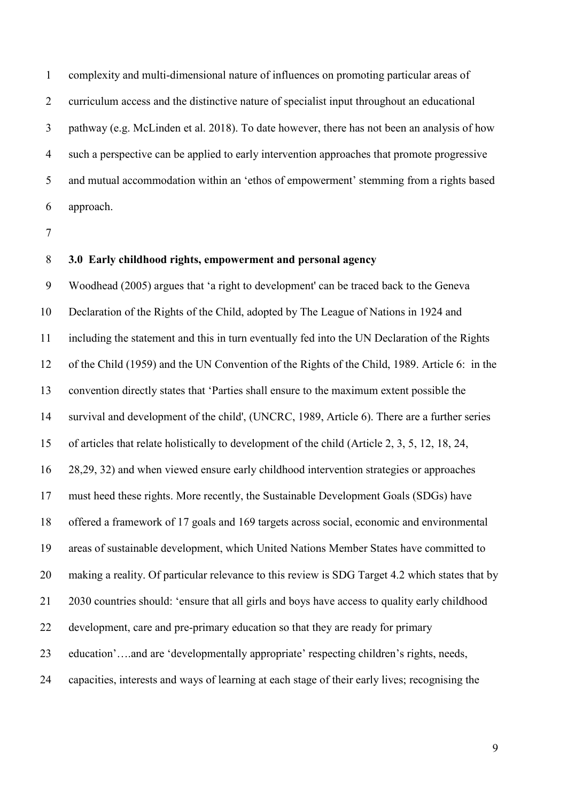complexity and multi-dimensional nature of influences on promoting particular areas of curriculum access and the distinctive nature of specialist input throughout an educational pathway (e.g. McLinden et al. 2018). To date however, there has not been an analysis of how such a perspective can be applied to early intervention approaches that promote progressive and mutual accommodation within an 'ethos of empowerment' stemming from a rights based approach.

#### **3.0 Early childhood rights, empowerment and personal agency**

 Woodhead (2005) argues that 'a right to development' can be traced back to the Geneva Declaration of the Rights of the Child, adopted by The League of Nations in 1924 and including the statement and this in turn eventually fed into the UN Declaration of the Rights of the Child (1959) and the UN Convention of the Rights of the Child, 1989. Article 6: in the convention directly states that 'Parties shall ensure to the maximum extent possible the survival and development of the child', (UNCRC, 1989, Article 6). There are a further series of articles that relate holistically to development of the child (Article 2, 3, 5, 12, 18, 24, 28,29, 32) and when viewed ensure early childhood intervention strategies or approaches must heed these rights. More recently, the Sustainable Development Goals (SDGs) have offered a framework of 17 goals and 169 targets across social, economic and environmental areas of sustainable development, which United Nations Member States have committed to making a reality. Of particular relevance to this review is SDG Target 4.2 which states that by 2030 countries should: 'ensure that all girls and boys have access to quality early childhood development, care and pre-primary education so that they are ready for primary education'….and are 'developmentally appropriate' respecting children's rights, needs, capacities, interests and ways of learning at each stage of their early lives; recognising the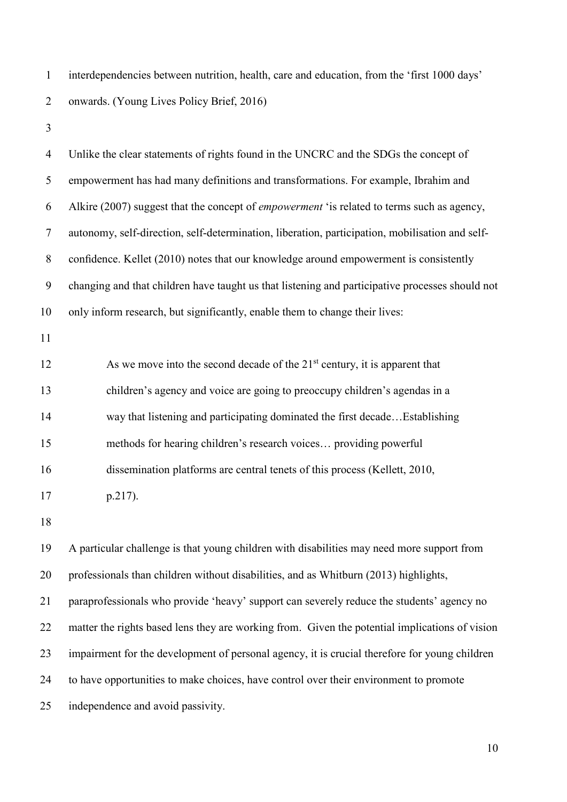interdependencies between nutrition, health, care and education, from the 'first 1000 days' onwards. (Young Lives Policy Brief, 2016)

 Unlike the clear statements of rights found in the UNCRC and the SDGs the concept of empowerment has had many definitions and transformations. For example, Ibrahim and Alkire (2007) suggest that the concept of *empowerment* 'is related to terms such as agency, autonomy, self-direction, self-determination, liberation, participation, mobilisation and self- confidence. Kellet (2010) notes that our knowledge around empowerment is consistently changing and that children have taught us that listening and participative processes should not only inform research, but significantly, enable them to change their lives:  $\Delta$  12 As we move into the second decade of the 21<sup>st</sup> century, it is apparent that children's agency and voice are going to preoccupy children's agendas in a way that listening and participating dominated the first decade…Establishing methods for hearing children's research voices… providing powerful dissemination platforms are central tenets of this process (Kellett, 2010, p.217). A particular challenge is that young children with disabilities may need more support from professionals than children without disabilities, and as Whitburn (2013) highlights, paraprofessionals who provide 'heavy' support can severely reduce the students' agency no matter the rights based lens they are working from. Given the potential implications of vision impairment for the development of personal agency, it is crucial therefore for young children to have opportunities to make choices, have control over their environment to promote independence and avoid passivity.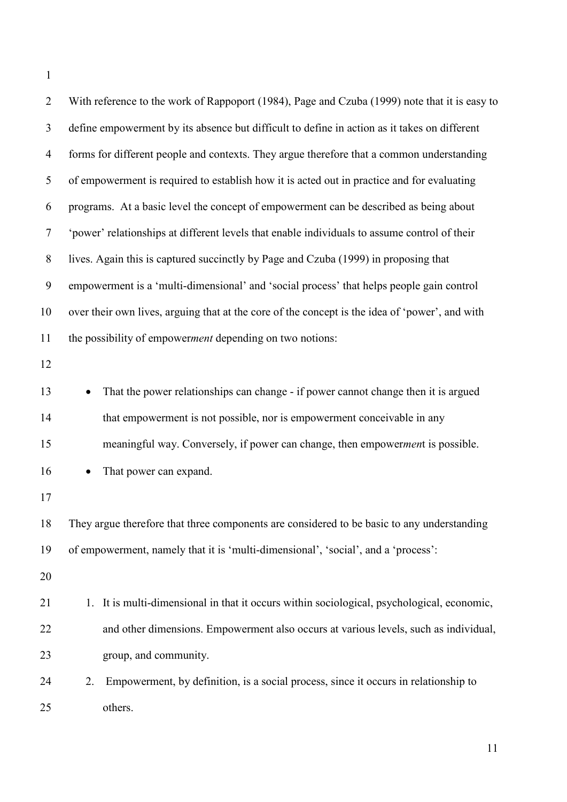| $\overline{2}$ | With reference to the work of Rappoport (1984), Page and Czuba (1999) note that it is easy to   |
|----------------|-------------------------------------------------------------------------------------------------|
| 3              | define empowerment by its absence but difficult to define in action as it takes on different    |
| $\overline{4}$ | forms for different people and contexts. They argue therefore that a common understanding       |
| 5              | of empowerment is required to establish how it is acted out in practice and for evaluating      |
| 6              | programs. At a basic level the concept of empowerment can be described as being about           |
| $\tau$         | 'power' relationships at different levels that enable individuals to assume control of their    |
| $8\,$          | lives. Again this is captured succinctly by Page and Czuba (1999) in proposing that             |
| 9              | empowerment is a 'multi-dimensional' and 'social process' that helps people gain control        |
| 10             | over their own lives, arguing that at the core of the concept is the idea of 'power', and with  |
| 11             | the possibility of empowerment depending on two notions:                                        |
| 12             |                                                                                                 |
| 13             | That the power relationships can change - if power cannot change then it is argued<br>$\bullet$ |
| 14             | that empowerment is not possible, nor is empowerment conceivable in any                         |
| 15             | meaningful way. Conversely, if power can change, then empowerment is possible.                  |
| 16             | That power can expand.                                                                          |
| 17             |                                                                                                 |
| 18             | They argue therefore that three components are considered to be basic to any understanding      |
| 19             | of empowerment, namely that it is 'multi-dimensional', 'social', and a 'process':               |
| 20             |                                                                                                 |
| 21             | It is multi-dimensional in that it occurs within sociological, psychological, economic,<br>1.   |
| 22             | and other dimensions. Empowerment also occurs at various levels, such as individual,            |
| 23             | group, and community.                                                                           |
| 24             | Empowerment, by definition, is a social process, since it occurs in relationship to<br>2.       |
| 25             | others.                                                                                         |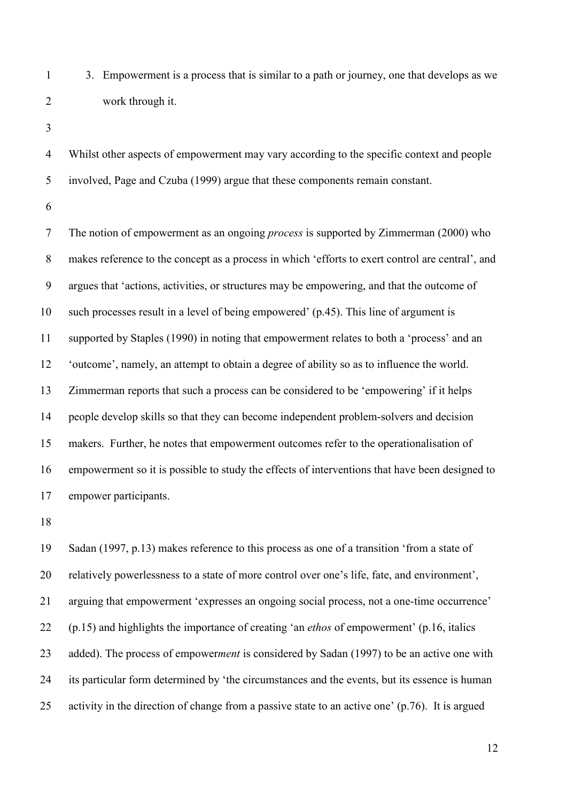3. Empowerment is a process that is similar to a path or journey, one that develops as we work through it.

 Whilst other aspects of empowerment may vary according to the specific context and people involved, Page and Czuba (1999) argue that these components remain constant.

 The notion of empowerment as an ongoing *process* is supported by Zimmerman (2000) who makes reference to the concept as a process in which 'efforts to exert control are central', and argues that 'actions, activities, or structures may be empowering, and that the outcome of such processes result in a level of being empowered' (p.45). This line of argument is supported by Staples (1990) in noting that empowerment relates to both a 'process' and an 'outcome', namely, an attempt to obtain a degree of ability so as to influence the world. Zimmerman reports that such a process can be considered to be 'empowering' if it helps people develop skills so that they can become independent problem-solvers and decision makers. Further, he notes that empowerment outcomes refer to the operationalisation of empowerment so it is possible to study the effects of interventions that have been designed to empower participants.

 Sadan (1997, p.13) makes reference to this process as one of a transition 'from a state of relatively powerlessness to a state of more control over one's life, fate, and environment', arguing that empowerment 'expresses an ongoing social process, not a one-time occurrence' (p.15) and highlights the importance of creating 'an *ethos* of empowerment' (p.16, italics added). The process of empower*ment* is considered by Sadan (1997) to be an active one with its particular form determined by 'the circumstances and the events, but its essence is human activity in the direction of change from a passive state to an active one' (p.76). It is argued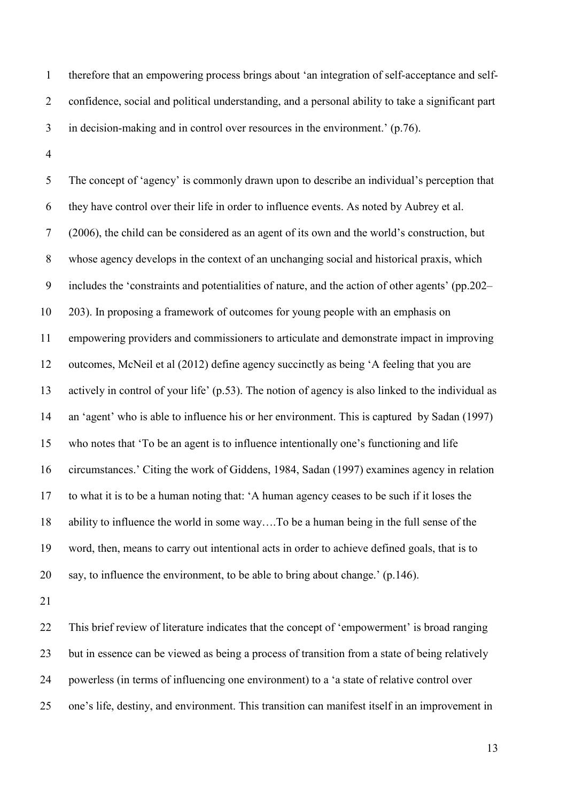therefore that an empowering process brings about 'an integration of self-acceptance and self- confidence, social and political understanding, and a personal ability to take a significant part in decision-making and in control over resources in the environment.' (p.76).

 The concept of 'agency' is commonly drawn upon to describe an individual's perception that they have control over their life in order to influence events. As noted by Aubrey et al. (2006), the child can be considered as an agent of its own and the world's construction, but whose agency develops in the context of an unchanging social and historical praxis, which includes the 'constraints and potentialities of nature, and the action of other agents' (pp.202– 203). In proposing a framework of outcomes for young people with an emphasis on empowering providers and commissioners to articulate and demonstrate impact in improving outcomes, McNeil et al (2012) define agency succinctly as being 'A feeling that you are actively in control of your life' (p.53). The notion of agency is also linked to the individual as an 'agent' who is able to influence his or her environment. This is captured by Sadan (1997) who notes that 'To be an agent is to influence intentionally one's functioning and life circumstances.' Citing the work of Giddens, 1984, Sadan (1997) examines agency in relation to what it is to be a human noting that: 'A human agency ceases to be such if it loses the ability to influence the world in some way….To be a human being in the full sense of the word, then, means to carry out intentional acts in order to achieve defined goals, that is to say, to influence the environment, to be able to bring about change.' (p.146).

 This brief review of literature indicates that the concept of 'empowerment' is broad ranging but in essence can be viewed as being a process of transition from a state of being relatively powerless (in terms of influencing one environment) to a 'a state of relative control over one's life, destiny, and environment. This transition can manifest itself in an improvement in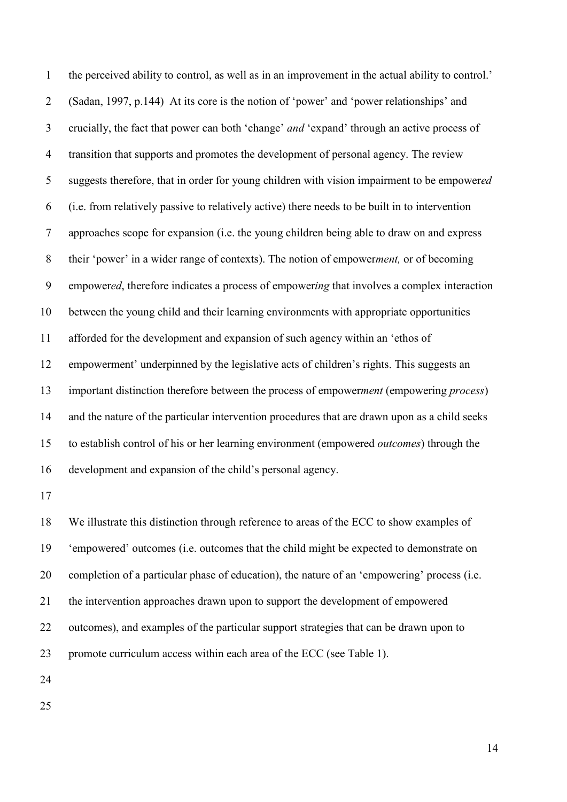the perceived ability to control, as well as in an improvement in the actual ability to control.' (Sadan, 1997, p.144) At its core is the notion of 'power' and 'power relationships' and crucially, the fact that power can both 'change' *and* 'expand' through an active process of transition that supports and promotes the development of personal agency. The review suggests therefore, that in order for young children with vision impairment to be empower*ed* (i.e. from relatively passive to relatively active) there needs to be built in to intervention approaches scope for expansion (i.e. the young children being able to draw on and express their 'power' in a wider range of contexts). The notion of empower*ment,* or of becoming empower*ed*, therefore indicates a process of empower*ing* that involves a complex interaction between the young child and their learning environments with appropriate opportunities afforded for the development and expansion of such agency within an 'ethos of empowerment' underpinned by the legislative acts of children's rights. This suggests an important distinction therefore between the process of empower*ment* (empowering *process*) and the nature of the particular intervention procedures that are drawn upon as a child seeks to establish control of his or her learning environment (empowered *outcomes*) through the development and expansion of the child's personal agency.

 We illustrate this distinction through reference to areas of the ECC to show examples of 'empowered' outcomes (i.e. outcomes that the child might be expected to demonstrate on completion of a particular phase of education), the nature of an 'empowering' process (i.e. the intervention approaches drawn upon to support the development of empowered outcomes), and examples of the particular support strategies that can be drawn upon to promote curriculum access within each area of the ECC (see Table 1).

- 
-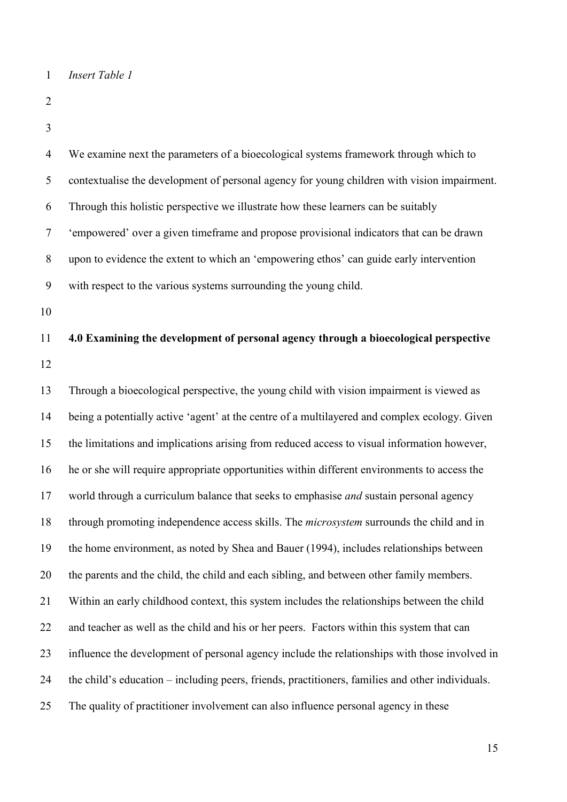```
1 Insert Table 1
```
- 
- 

| $\overline{4}$ | We examine next the parameters of a bioecological systems framework through which to             |
|----------------|--------------------------------------------------------------------------------------------------|
| 5              | contextualise the development of personal agency for young children with vision impairment.      |
| 6              | Through this holistic perspective we illustrate how these learners can be suitably               |
| $\tau$         | 'empowered' over a given timeframe and propose provisional indicators that can be drawn          |
| $8\,$          | upon to evidence the extent to which an 'empowering ethos' can guide early intervention          |
| 9              | with respect to the various systems surrounding the young child.                                 |
| 10             |                                                                                                  |
| 11             | 4.0 Examining the development of personal agency through a bioecological perspective             |
| 12             |                                                                                                  |
| 13             | Through a bioecological perspective, the young child with vision impairment is viewed as         |
| 14             | being a potentially active 'agent' at the centre of a multilayered and complex ecology. Given    |
| 15             | the limitations and implications arising from reduced access to visual information however,      |
| 16             | he or she will require appropriate opportunities within different environments to access the     |
| 17             | world through a curriculum balance that seeks to emphasise and sustain personal agency           |
| 18             | through promoting independence access skills. The <i>microsystem</i> surrounds the child and in  |
| 19             | the home environment, as noted by Shea and Bauer (1994), includes relationships between          |
| 20             | the parents and the child, the child and each sibling, and between other family members.         |
| 21             | Within an early childhood context, this system includes the relationships between the child      |
| 22             | and teacher as well as the child and his or her peers. Factors within this system that can       |
| 23             | influence the development of personal agency include the relationships with those involved in    |
| 24             | the child's education – including peers, friends, practitioners, families and other individuals. |
| 25             | The quality of practitioner involvement can also influence personal agency in these              |
|                |                                                                                                  |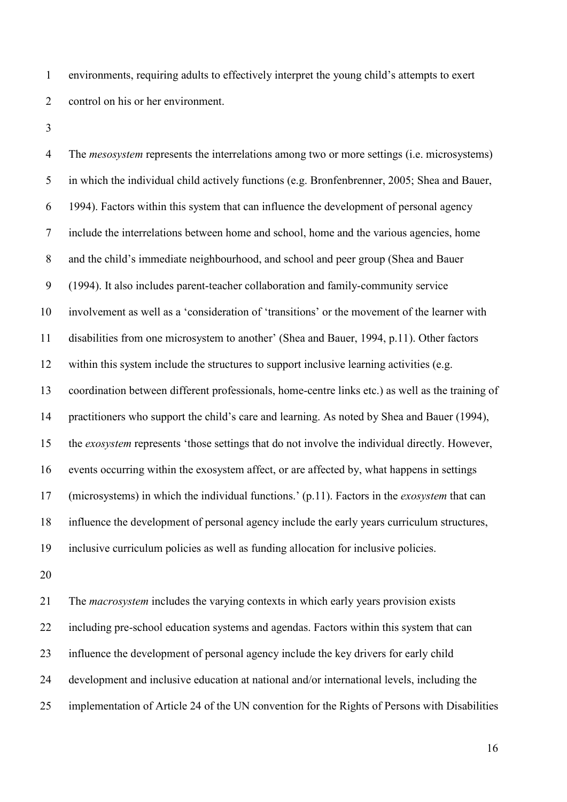environments, requiring adults to effectively interpret the young child's attempts to exert 2 control on his or her environment.

 The *mesosystem* represents the interrelations among two or more settings (i.e. microsystems) in which the individual child actively functions (e.g. Bronfenbrenner, 2005; Shea and Bauer, 1994). Factors within this system that can influence the development of personal agency include the interrelations between home and school, home and the various agencies, home and the child's immediate neighbourhood, and school and peer group (Shea and Bauer (1994). It also includes parent-teacher collaboration and family-community service involvement as well as a 'consideration of 'transitions' or the movement of the learner with disabilities from one microsystem to another' (Shea and Bauer, 1994, p.11). Other factors within this system include the structures to support inclusive learning activities (e.g. coordination between different professionals, home-centre links etc.) as well as the training of practitioners who support the child's care and learning. As noted by Shea and Bauer (1994), the *exosystem* represents 'those settings that do not involve the individual directly. However, events occurring within the exosystem affect, or are affected by, what happens in settings (microsystems) in which the individual functions.' (p.11). Factors in the *exosystem* that can influence the development of personal agency include the early years curriculum structures, inclusive curriculum policies as well as funding allocation for inclusive policies.

 The *macrosystem* includes the varying contexts in which early years provision exists including pre-school education systems and agendas. Factors within this system that can influence the development of personal agency include the key drivers for early child development and inclusive education at national and/or international levels, including the implementation of Article 24 of the UN convention for the Rights of Persons with Disabilities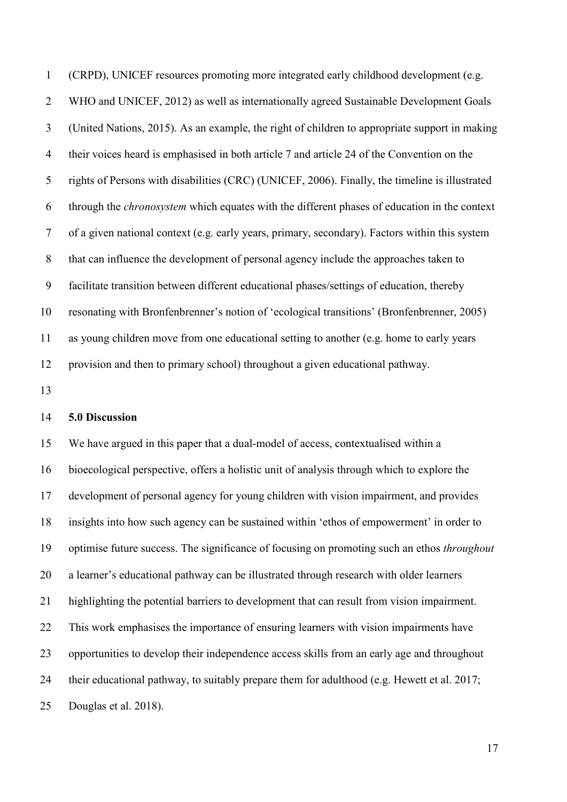(CRPD), UNICEF resources promoting more integrated early childhood development (e.g. WHO and UNICEF, 2012) as well as internationally agreed Sustainable Development Goals (United Nations, 2015). As an example, the right of children to appropriate support in making their voices heard is emphasised in both article 7 and article 24 of the Convention on the rights of Persons with disabilities (CRC) (UNICEF, 2006). Finally, the timeline is illustrated through the *chronosystem* which equates with the different phases of education in the context of a given national context (e.g. early years, primary, secondary). Factors within this system that can influence the development of personal agency include the approaches taken to facilitate transition between different educational phases/settings of education, thereby resonating with Bronfenbrenner's notion of 'ecological transitions' (Bronfenbrenner, 2005) as young children move from one educational setting to another (e.g. home to early years provision and then to primary school) throughout a given educational pathway.

### **5.0 Discussion**

 We have argued in this paper that a dual-model of access, contextualised within a bioecological perspective, offers a holistic unit of analysis through which to explore the development of personal agency for young children with vision impairment, and provides insights into how such agency can be sustained within 'ethos of empowerment' in order to optimise future success. The significance of focusing on promoting such an ethos *throughout* a learner's educational pathway can be illustrated through research with older learners highlighting the potential barriers to development that can result from vision impairment. This work emphasises the importance of ensuring learners with vision impairments have opportunities to develop their independence access skills from an early age and throughout their educational pathway, to suitably prepare them for adulthood (e.g. Hewett et al. 2017; Douglas et al. 2018).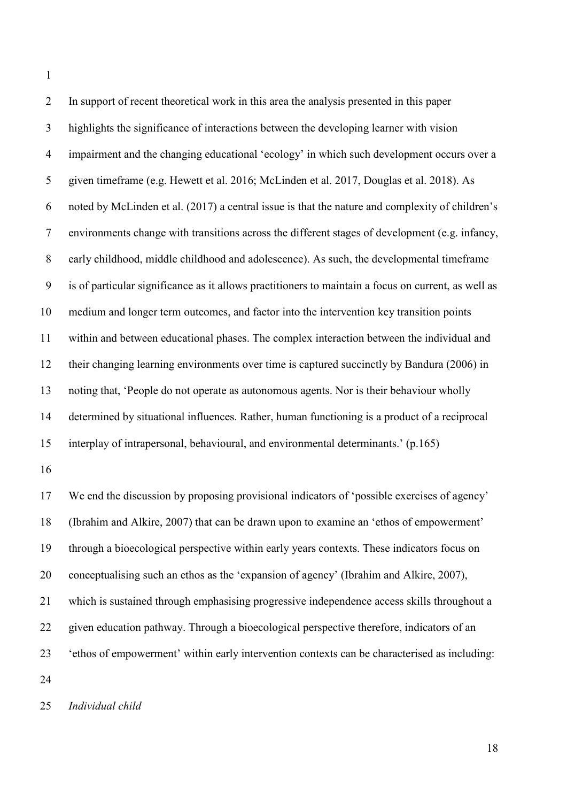In support of recent theoretical work in this area the analysis presented in this paper highlights the significance of interactions between the developing learner with vision impairment and the changing educational 'ecology' in which such development occurs over a given timeframe (e.g. Hewett et al. 2016; McLinden et al. 2017, Douglas et al. 2018). As noted by McLinden et al. (2017) a central issue is that the nature and complexity of children's environments change with transitions across the different stages of development (e.g. infancy, early childhood, middle childhood and adolescence). As such, the developmental timeframe is of particular significance as it allows practitioners to maintain a focus on current, as well as medium and longer term outcomes, and factor into the intervention key transition points within and between educational phases. The complex interaction between the individual and their changing learning environments over time is captured succinctly by Bandura (2006) in noting that, 'People do not operate as autonomous agents. Nor is their behaviour wholly determined by situational influences. Rather, human functioning is a product of a reciprocal interplay of intrapersonal, behavioural, and environmental determinants.' (p.165) We end the discussion by proposing provisional indicators of 'possible exercises of agency' (Ibrahim and Alkire, 2007) that can be drawn upon to examine an 'ethos of empowerment' through a bioecological perspective within early years contexts. These indicators focus on

conceptualising such an ethos as the 'expansion of agency' (Ibrahim and Alkire, 2007),

which is sustained through emphasising progressive independence access skills throughout a

given education pathway. Through a bioecological perspective therefore, indicators of an

- 'ethos of empowerment' within early intervention contexts can be characterised as including:
- 

*Individual child*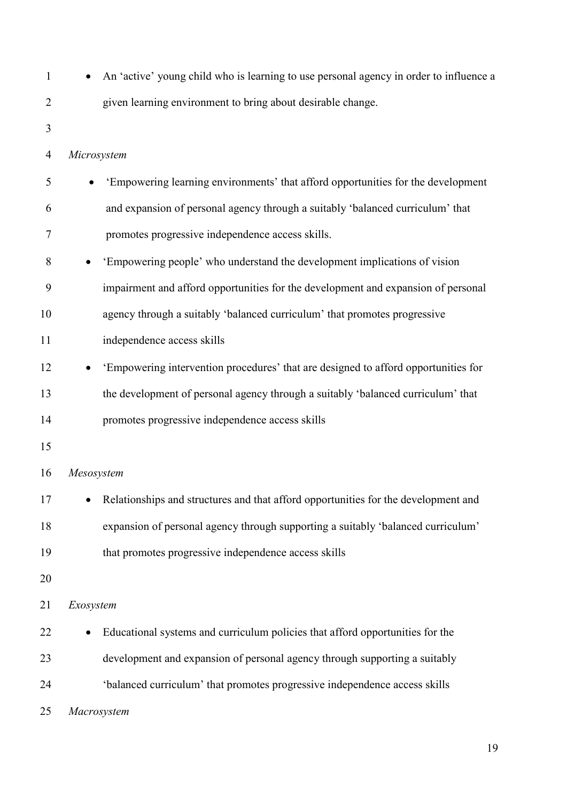| $\mathbf{1}$   | An 'active' young child who is learning to use personal agency in order to influence a |
|----------------|----------------------------------------------------------------------------------------|
| 2              | given learning environment to bring about desirable change.                            |
| 3              |                                                                                        |
| $\overline{4}$ | Microsystem                                                                            |
| 5              | 'Empowering learning environments' that afford opportunities for the development       |
| 6              | and expansion of personal agency through a suitably 'balanced curriculum' that         |
| 7              | promotes progressive independence access skills.                                       |
| 8              | 'Empowering people' who understand the development implications of vision              |
| 9              | impairment and afford opportunities for the development and expansion of personal      |
| 10             | agency through a suitably 'balanced curriculum' that promotes progressive              |
| 11             | independence access skills                                                             |
| 12             | 'Empowering intervention procedures' that are designed to afford opportunities for     |
| 13             | the development of personal agency through a suitably 'balanced curriculum' that       |
| 14             | promotes progressive independence access skills                                        |
| 15             |                                                                                        |
| 16             | Mesosystem                                                                             |
| 17             | Relationships and structures and that afford opportunities for the development and     |
| 18             | expansion of personal agency through supporting a suitably 'balanced curriculum'       |
| 19             | that promotes progressive independence access skills                                   |
| 20             |                                                                                        |
| 21             | Exosystem                                                                              |
| 22             | Educational systems and curriculum policies that afford opportunities for the          |
| 23             | development and expansion of personal agency through supporting a suitably             |
| 24             | 'balanced curriculum' that promotes progressive independence access skills             |
| 25             | Macrosystem                                                                            |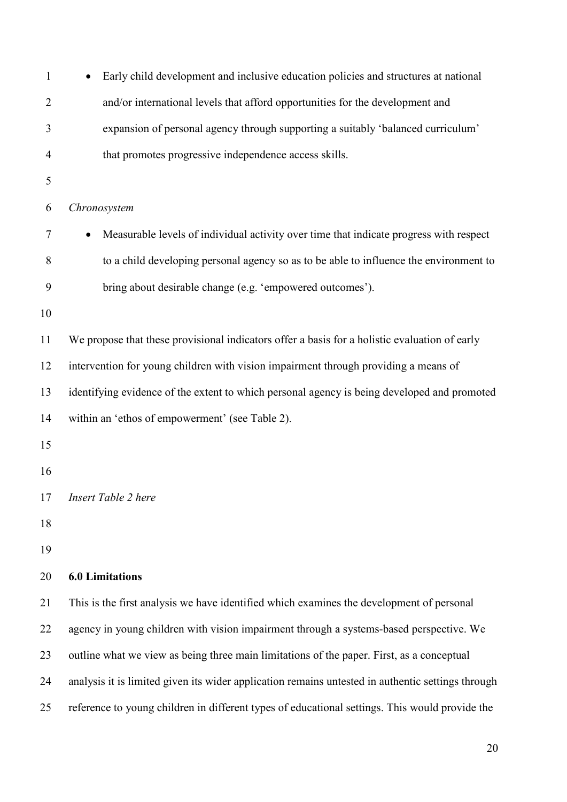| $\mathbf{1}$   | Early child development and inclusive education policies and structures at national               |  |
|----------------|---------------------------------------------------------------------------------------------------|--|
| $\overline{2}$ | and/or international levels that afford opportunities for the development and                     |  |
| 3              | expansion of personal agency through supporting a suitably 'balanced curriculum'                  |  |
| 4              | that promotes progressive independence access skills.                                             |  |
| 5              |                                                                                                   |  |
| 6              | Chronosystem                                                                                      |  |
| 7              | Measurable levels of individual activity over time that indicate progress with respect            |  |
| 8              | to a child developing personal agency so as to be able to influence the environment to            |  |
| 9              | bring about desirable change (e.g. 'empowered outcomes').                                         |  |
| 10             |                                                                                                   |  |
| 11             | We propose that these provisional indicators offer a basis for a holistic evaluation of early     |  |
| 12             | intervention for young children with vision impairment through providing a means of               |  |
| 13             | identifying evidence of the extent to which personal agency is being developed and promoted       |  |
| 14             | within an 'ethos of empowerment' (see Table 2).                                                   |  |
| 15             |                                                                                                   |  |
| 16             |                                                                                                   |  |
| 17             | Insert Table 2 here                                                                               |  |
| 18             |                                                                                                   |  |
| 19             |                                                                                                   |  |
| 20             | <b>6.0 Limitations</b>                                                                            |  |
| 21             | This is the first analysis we have identified which examines the development of personal          |  |
| 22             | agency in young children with vision impairment through a systems-based perspective. We           |  |
| 23             | outline what we view as being three main limitations of the paper. First, as a conceptual         |  |
| 24             | analysis it is limited given its wider application remains untested in authentic settings through |  |
| 25             | reference to young children in different types of educational settings. This would provide the    |  |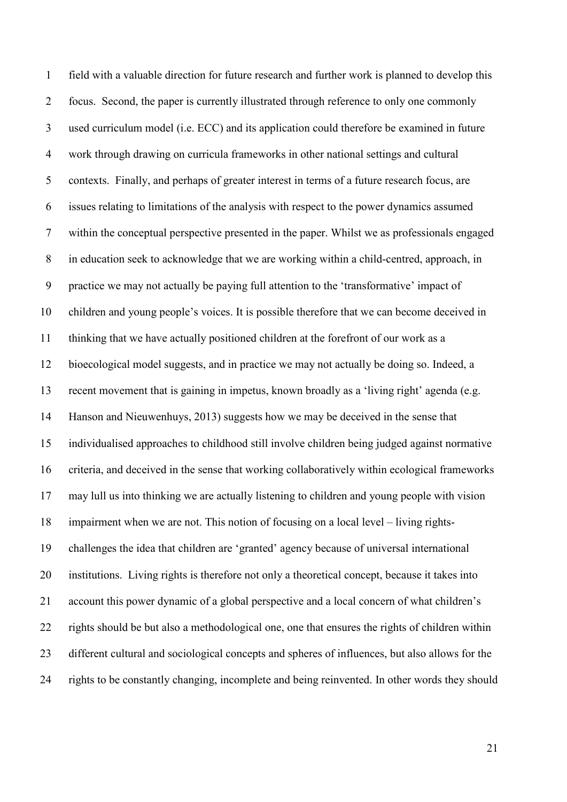field with a valuable direction for future research and further work is planned to develop this focus. Second, the paper is currently illustrated through reference to only one commonly used curriculum model (i.e. ECC) and its application could therefore be examined in future work through drawing on curricula frameworks in other national settings and cultural contexts. Finally, and perhaps of greater interest in terms of a future research focus, are issues relating to limitations of the analysis with respect to the power dynamics assumed within the conceptual perspective presented in the paper. Whilst we as professionals engaged in education seek to acknowledge that we are working within a child-centred, approach, in practice we may not actually be paying full attention to the 'transformative' impact of children and young people's voices. It is possible therefore that we can become deceived in thinking that we have actually positioned children at the forefront of our work as a bioecological model suggests, and in practice we may not actually be doing so. Indeed, a recent movement that is gaining in impetus, known broadly as a 'living right' agenda (e.g. Hanson and Nieuwenhuys, 2013) suggests how we may be deceived in the sense that individualised approaches to childhood still involve children being judged against normative criteria, and deceived in the sense that working collaboratively within ecological frameworks may lull us into thinking we are actually listening to children and young people with vision impairment when we are not. This notion of focusing on a local level – living rights- challenges the idea that children are 'granted' agency because of universal international institutions. Living rights is therefore not only a theoretical concept, because it takes into account this power dynamic of a global perspective and a local concern of what children's rights should be but also a methodological one, one that ensures the rights of children within different cultural and sociological concepts and spheres of influences, but also allows for the rights to be constantly changing, incomplete and being reinvented. In other words they should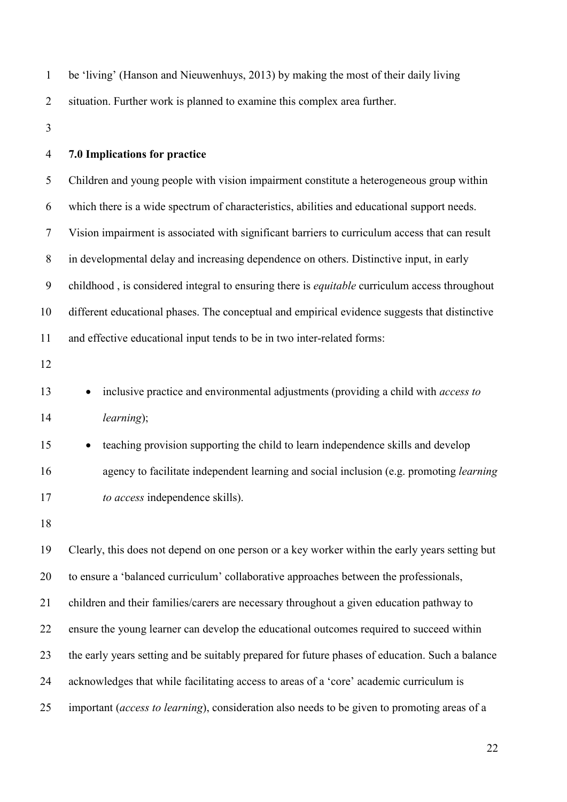| $\mathbf{1}$   | be 'living' (Hanson and Nieuwenhuys, 2013) by making the most of their daily living             |  |
|----------------|-------------------------------------------------------------------------------------------------|--|
| $\overline{2}$ | situation. Further work is planned to examine this complex area further.                        |  |
| 3              |                                                                                                 |  |
| $\overline{4}$ | 7.0 Implications for practice                                                                   |  |
| 5              | Children and young people with vision impairment constitute a heterogeneous group within        |  |
| 6              | which there is a wide spectrum of characteristics, abilities and educational support needs.     |  |
| $\tau$         | Vision impairment is associated with significant barriers to curriculum access that can result  |  |
| $8\,$          | in developmental delay and increasing dependence on others. Distinctive input, in early         |  |
| 9              | childhood, is considered integral to ensuring there is equitable curriculum access throughout   |  |
| 10             | different educational phases. The conceptual and empirical evidence suggests that distinctive   |  |
| 11             | and effective educational input tends to be in two inter-related forms:                         |  |
| 12             |                                                                                                 |  |
| 13             | inclusive practice and environmental adjustments (providing a child with access to<br>$\bullet$ |  |
| 14             | learning);                                                                                      |  |
| 15             | teaching provision supporting the child to learn independence skills and develop                |  |
| 16             | agency to facilitate independent learning and social inclusion (e.g. promoting learning         |  |
| 17             | to access independence skills).                                                                 |  |
| 18             |                                                                                                 |  |
| 19             | Clearly, this does not depend on one person or a key worker within the early years setting but  |  |
| 20             | to ensure a 'balanced curriculum' collaborative approaches between the professionals,           |  |
| 21             | children and their families/carers are necessary throughout a given education pathway to        |  |
| 22             | ensure the young learner can develop the educational outcomes required to succeed within        |  |
| 23             | the early years setting and be suitably prepared for future phases of education. Such a balance |  |
| 24             | acknowledges that while facilitating access to areas of a 'core' academic curriculum is         |  |
| 25             | important (access to learning), consideration also needs to be given to promoting areas of a    |  |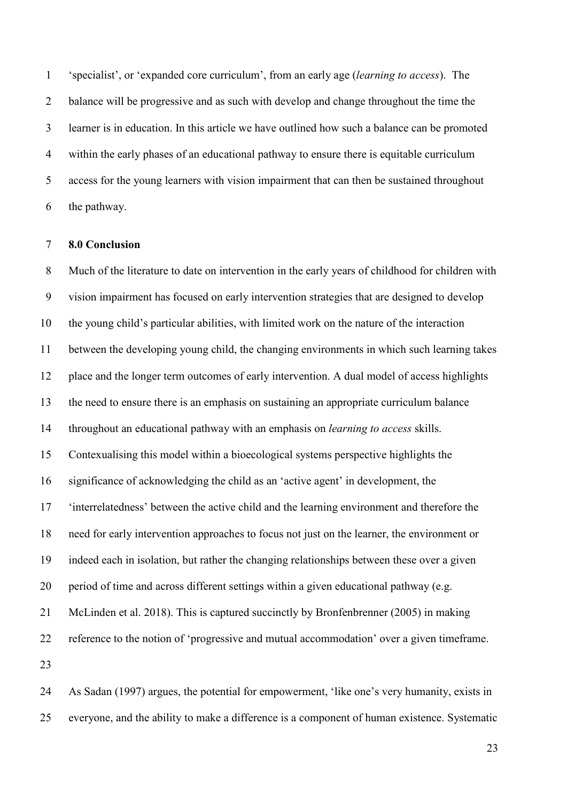'specialist', or 'expanded core curriculum', from an early age (*learning to access*). The 2 balance will be progressive and as such with develop and change throughout the time the learner is in education. In this article we have outlined how such a balance can be promoted within the early phases of an educational pathway to ensure there is equitable curriculum access for the young learners with vision impairment that can then be sustained throughout the pathway.

#### **8.0 Conclusion**

 Much of the literature to date on intervention in the early years of childhood for children with vision impairment has focused on early intervention strategies that are designed to develop the young child's particular abilities, with limited work on the nature of the interaction between the developing young child, the changing environments in which such learning takes place and the longer term outcomes of early intervention. A dual model of access highlights the need to ensure there is an emphasis on sustaining an appropriate curriculum balance throughout an educational pathway with an emphasis on *learning to access* skills. Contexualising this model within a bioecological systems perspective highlights the significance of acknowledging the child as an 'active agent' in development, the 'interrelatedness' between the active child and the learning environment and therefore the need for early intervention approaches to focus not just on the learner, the environment or indeed each in isolation, but rather the changing relationships between these over a given period of time and across different settings within a given educational pathway (e.g. McLinden et al. 2018). This is captured succinctly by Bronfenbrenner (2005) in making reference to the notion of 'progressive and mutual accommodation' over a given timeframe. 

 As Sadan (1997) argues, the potential for empowerment, 'like one's very humanity, exists in everyone, and the ability to make a difference is a component of human existence. Systematic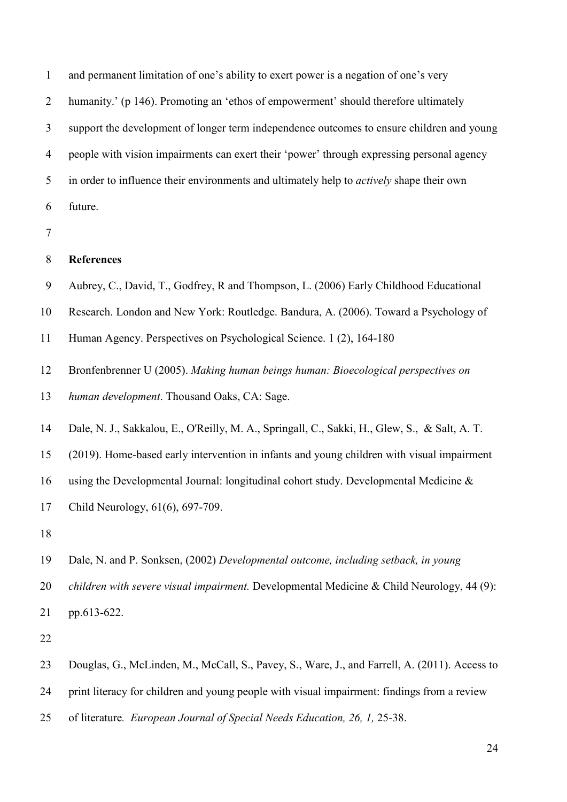and permanent limitation of one's ability to exert power is a negation of one's very 2 humanity.' (p 146). Promoting an 'ethos of empowerment' should therefore ultimately support the development of longer term independence outcomes to ensure children and young people with vision impairments can exert their 'power' through expressing personal agency in order to influence their environments and ultimately help to *actively* shape their own future.

## **References**

- Aubrey, C., David, T., Godfrey, R and Thompson, L. (2006) Early Childhood Educational
- Research. London and New York: Routledge. Bandura, A. (2006). Toward a Psychology of
- Human Agency. Perspectives on Psychological Science. 1 (2), 164-180
- Bronfenbrenner U (2005). *Making human beings human: Bioecological perspectives on*
- *human development*. Thousand Oaks, CA: Sage.
- Dale, N. J., Sakkalou, E., O'Reilly, M. A., Springall, C., Sakki, H., Glew, S., & Salt, A. T.
- 15 (2019). Home-based early intervention in infants and young children with visual impairment
- using the Developmental Journal: longitudinal cohort study. Developmental Medicine &
- Child Neurology, 61(6), 697-709.
- 
- Dale, N. and P. Sonksen, (2002) *Developmental outcome, including setback, in young*
- *children with severe visual impairment.* Developmental Medicine & Child Neurology, 44 (9):
- pp.613-622.
- 
- Douglas, G., McLinden, M., McCall, S., Pavey, S., Ware, J., and Farrell, A. (2011). Access to
- print literacy for children and young people with visual impairment: findings from a review
- of literature*. European Journal of Special Needs Education, 26, 1,* 25-38.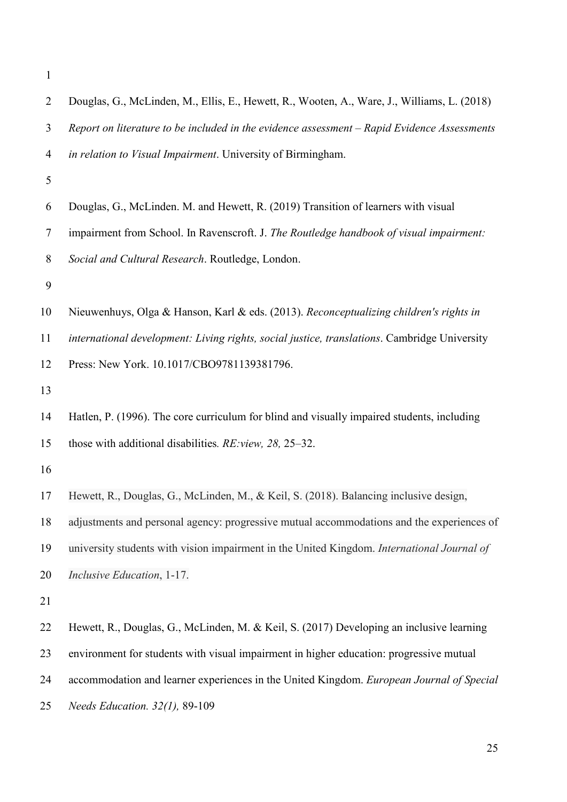| $\overline{2}$ | Douglas, G., McLinden, M., Ellis, E., Hewett, R., Wooten, A., Ware, J., Williams, L. (2018)  |
|----------------|----------------------------------------------------------------------------------------------|
| 3              | Report on literature to be included in the evidence assessment - Rapid Evidence Assessments  |
| $\overline{4}$ | in relation to Visual Impairment. University of Birmingham.                                  |
| 5              |                                                                                              |
| 6              | Douglas, G., McLinden. M. and Hewett, R. (2019) Transition of learners with visual           |
| 7              | impairment from School. In Ravenscroft. J. The Routledge handbook of visual impairment:      |
| 8              | Social and Cultural Research. Routledge, London.                                             |
| 9              |                                                                                              |
| 10             | Nieuwenhuys, Olga & Hanson, Karl & eds. (2013). Reconceptualizing children's rights in       |
| 11             | international development: Living rights, social justice, translations. Cambridge University |
| 12             | Press: New York. 10.1017/CBO9781139381796.                                                   |
| 13             |                                                                                              |
| 14             | Hatlen, P. (1996). The core curriculum for blind and visually impaired students, including   |
| 15             | those with additional disabilities. RE: view, 28, 25–32.                                     |
| 16             |                                                                                              |
| 17             | Hewett, R., Douglas, G., McLinden, M., & Keil, S. (2018). Balancing inclusive design,        |
| 18             | adjustments and personal agency: progressive mutual accommodations and the experiences of    |
| 19             | university students with vision impairment in the United Kingdom. International Journal of   |
| 20             | Inclusive Education, 1-17.                                                                   |
| 21             |                                                                                              |
| 22             | Hewett, R., Douglas, G., McLinden, M. & Keil, S. (2017) Developing an inclusive learning     |
| 23             | environment for students with visual impairment in higher education: progressive mutual      |
| 24             | accommodation and learner experiences in the United Kingdom. European Journal of Special     |
| 25             | Needs Education. 32(1), 89-109                                                               |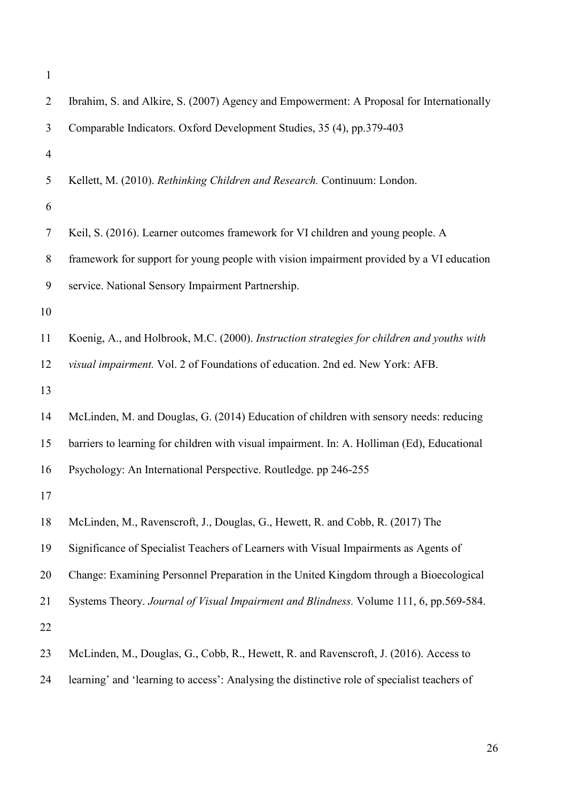| $\mathbf{1}$   |                                                                                              |
|----------------|----------------------------------------------------------------------------------------------|
| 2              | Ibrahim, S. and Alkire, S. (2007) Agency and Empowerment: A Proposal for Internationally     |
| 3              | Comparable Indicators. Oxford Development Studies, 35 (4), pp.379-403                        |
| $\overline{4}$ |                                                                                              |
| 5              | Kellett, M. (2010). Rethinking Children and Research. Continuum: London.                     |
| 6              |                                                                                              |
| $\overline{7}$ | Keil, S. (2016). Learner outcomes framework for VI children and young people. A              |
| 8              | framework for support for young people with vision impairment provided by a VI education     |
| 9              | service. National Sensory Impairment Partnership.                                            |
| 10             |                                                                                              |
| 11             | Koenig, A., and Holbrook, M.C. (2000). Instruction strategies for children and youths with   |
| 12             | visual impairment. Vol. 2 of Foundations of education. 2nd ed. New York: AFB.                |
| 13             |                                                                                              |
| 14             | McLinden, M. and Douglas, G. (2014) Education of children with sensory needs: reducing       |
| 15             | barriers to learning for children with visual impairment. In: A. Holliman (Ed), Educational  |
| 16             | Psychology: An International Perspective. Routledge. pp 246-255                              |
| 17             |                                                                                              |
| 18             | McLinden, M., Ravenscroft, J., Douglas, G., Hewett, R. and Cobb, R. (2017) The               |
| 19             | Significance of Specialist Teachers of Learners with Visual Impairments as Agents of         |
| 20             | Change: Examining Personnel Preparation in the United Kingdom through a Bioecological        |
| 21             | Systems Theory. Journal of Visual Impairment and Blindness. Volume 111, 6, pp.569-584.       |
| 22             |                                                                                              |
| 23             | McLinden, M., Douglas, G., Cobb, R., Hewett, R. and Ravenscroft, J. (2016). Access to        |
| 24             | learning' and 'learning to access': Analysing the distinctive role of specialist teachers of |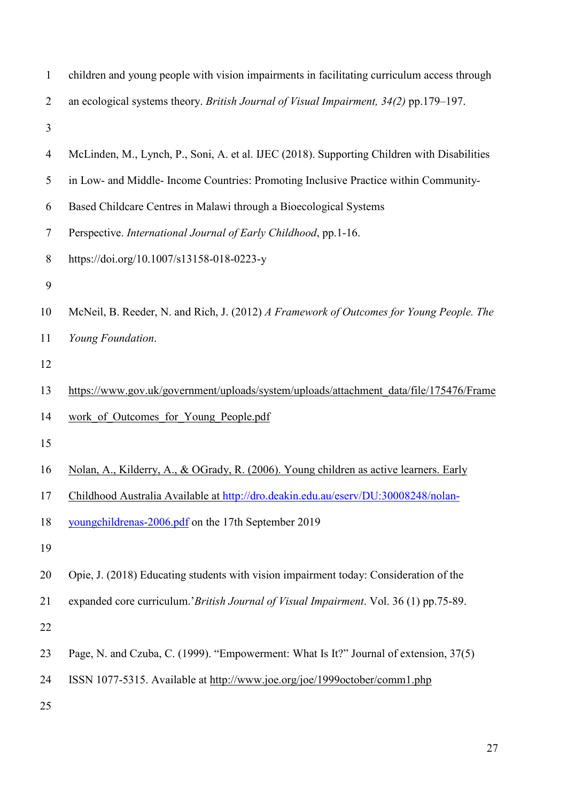| $\mathbf{1}$   | children and young people with vision impairments in facilitating curriculum access through |
|----------------|---------------------------------------------------------------------------------------------|
| $\overline{2}$ | an ecological systems theory. British Journal of Visual Impairment, 34(2) pp.179-197.       |
| 3              |                                                                                             |
| 4              | McLinden, M., Lynch, P., Soni, A. et al. IJEC (2018). Supporting Children with Disabilities |
| 5              | in Low- and Middle-Income Countries: Promoting Inclusive Practice within Community-         |
| 6              | Based Childcare Centres in Malawi through a Bioecological Systems                           |
| 7              | Perspective. International Journal of Early Childhood, pp.1-16.                             |
| 8              | https://doi.org/10.1007/s13158-018-0223-y                                                   |
| 9              |                                                                                             |
| 10             | McNeil, B. Reeder, N. and Rich, J. (2012) A Framework of Outcomes for Young People. The     |
| 11             | Young Foundation.                                                                           |
| 12             |                                                                                             |
| 13             | https://www.gov.uk/government/uploads/system/uploads/attachment_data/file/175476/Frame      |
| 14             | work of Outcomes for Young People.pdf                                                       |
| 15             |                                                                                             |
| 16             | Nolan, A., Kilderry, A., & OGrady, R. (2006). Young children as active learners. Early      |
| 17             | Childhood Australia Available at http://dro.deakin.edu.au/eserv/DU:30008248/nolan-          |
| 18             | youngchildrenas-2006.pdf on the 17th September 2019                                         |
| 19             |                                                                                             |
| 20             | Opie, J. (2018) Educating students with vision impairment today: Consideration of the       |
| 21             | expanded core curriculum.'British Journal of Visual Impairment. Vol. 36 (1) pp.75-89.       |
| 22             |                                                                                             |
| 23             | Page, N. and Czuba, C. (1999). "Empowerment: What Is It?" Journal of extension, 37(5)       |
| 24             | ISSN 1077-5315. Available at http://www.joe.org/joe/1999october/comm1.php                   |
| 25             |                                                                                             |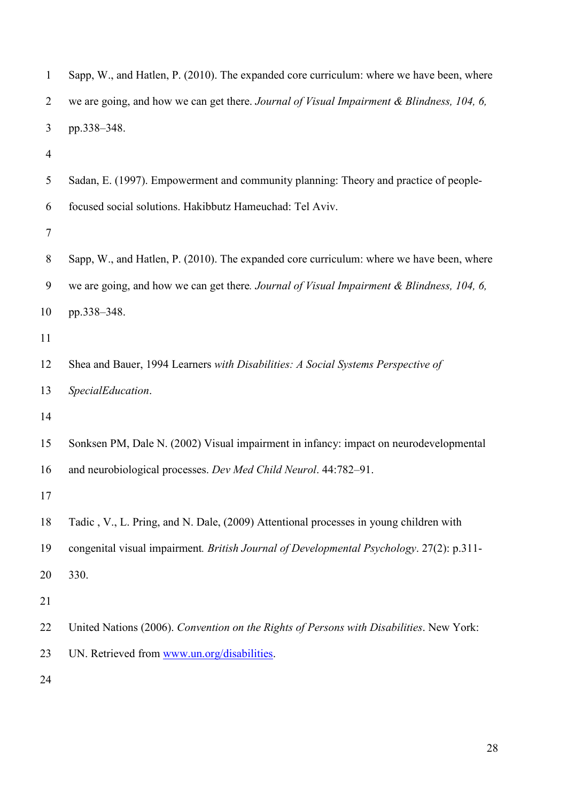| $\overline{2}$ | we are going, and how we can get there. Journal of Visual Impairment & Blindness, 104, 6, |
|----------------|-------------------------------------------------------------------------------------------|
| 3              | pp.338-348.                                                                               |
| 4              |                                                                                           |
| 5              | Sadan, E. (1997). Empowerment and community planning: Theory and practice of people-      |
| 6              | focused social solutions. Hakibbutz Hameuchad: Tel Aviv.                                  |
| $\tau$         |                                                                                           |
| 8              | Sapp, W., and Hatlen, P. (2010). The expanded core curriculum: where we have been, where  |
| 9              | we are going, and how we can get there. Journal of Visual Impairment & Blindness, 104, 6, |
| 10             | pp.338-348.                                                                               |
| 11             |                                                                                           |
| 12             | Shea and Bauer, 1994 Learners with Disabilities: A Social Systems Perspective of          |
| 13             | SpecialEducation.                                                                         |
| 14             |                                                                                           |
| 15             | Sonksen PM, Dale N. (2002) Visual impairment in infancy: impact on neurodevelopmental     |
| 16             | and neurobiological processes. Dev Med Child Neurol. 44:782-91.                           |
| 17             |                                                                                           |
| 18             | Tadic, V., L. Pring, and N. Dale, (2009) Attentional processes in young children with     |
| 19             | congenital visual impairment. British Journal of Developmental Psychology. 27(2): p.311-  |
| 20             | 330.                                                                                      |
| 21             |                                                                                           |
| 22             | United Nations (2006). Convention on the Rights of Persons with Disabilities. New York:   |
| 23             | UN. Retrieved from www.un.org/disabilities.                                               |
| 24             |                                                                                           |

Sapp, W., and Hatlen, P. (2010). The expanded core curriculum: where we have been, where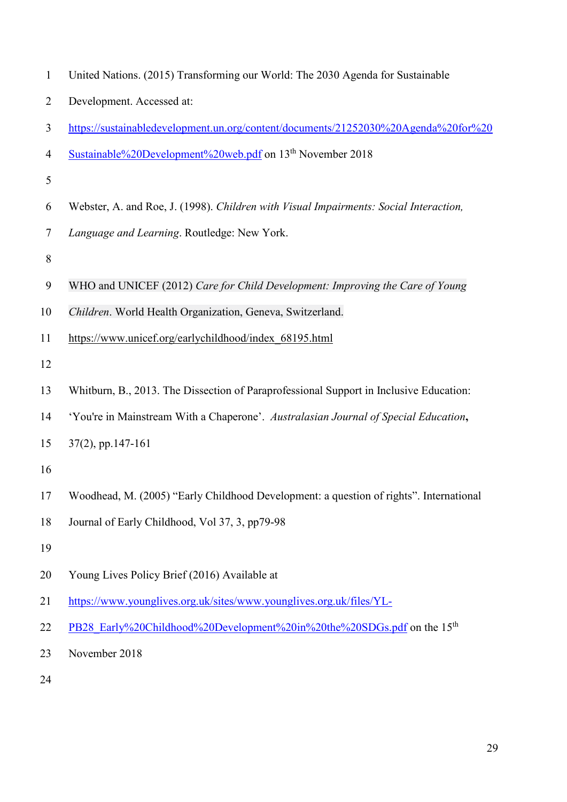| $\mathbf{1}$   | United Nations. (2015) Transforming our World: The 2030 Agenda for Sustainable         |
|----------------|----------------------------------------------------------------------------------------|
| $\overline{2}$ | Development. Accessed at:                                                              |
| 3              | https://sustainabledevelopment.un.org/content/documents/21252030%20Agenda%20for%20     |
| $\overline{4}$ | Sustainable%20Development%20web.pdf on 13 <sup>th</sup> November 2018                  |
| 5              |                                                                                        |
| 6              | Webster, A. and Roe, J. (1998). Children with Visual Impairments: Social Interaction,  |
| $\tau$         | Language and Learning. Routledge: New York.                                            |
| $8\,$          |                                                                                        |
| 9              | WHO and UNICEF (2012) Care for Child Development: Improving the Care of Young          |
| 10             | Children. World Health Organization, Geneva, Switzerland.                              |
| 11             | https://www.unicef.org/earlychildhood/index 68195.html                                 |
| 12             |                                                                                        |
| 13             | Whitburn, B., 2013. The Dissection of Paraprofessional Support in Inclusive Education: |
| 14             | 'You're in Mainstream With a Chaperone'. Australasian Journal of Special Education,    |
| 15             | $37(2)$ , pp.147-161                                                                   |
| 16             |                                                                                        |
| 17             | Woodhead, M. (2005) "Early Childhood Development: a question of rights". International |
| 18             | Journal of Early Childhood, Vol 37, 3, pp79-98                                         |
| 19             |                                                                                        |
| 20             | Young Lives Policy Brief (2016) Available at                                           |
| 21             | https://www.younglives.org.uk/sites/www.younglives.org.uk/files/YL-                    |
| 22             | PB28 Early%20Childhood%20Development%20in%20the%20SDGs.pdf on the 15 <sup>th</sup>     |
| 23             | November 2018                                                                          |
| 24             |                                                                                        |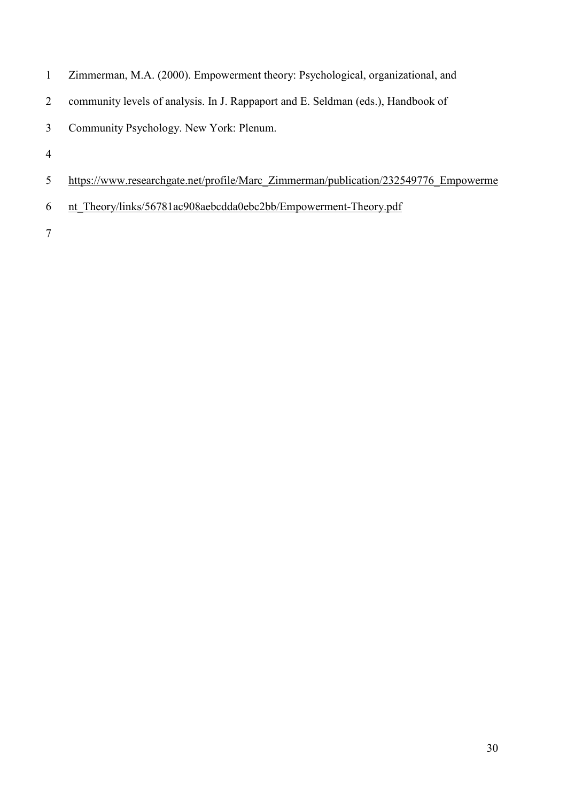- Zimmerman, M.A. (2000). Empowerment theory: Psychological, organizational, and
- community levels of analysis. In J. Rappaport and E. Seldman (eds.), Handbook of
- Community Psychology. New York: Plenum.
- 
- [https://www.researchgate.net/profile/Marc\\_Zimmerman/publication/232549776\\_Empowerme](https://www.researchgate.net/profile/Marc_Zimmerman/publication/232549776_Empowerment_Theory/links/56781ac908aebcdda0ebc2bb/Empowerment-Theory.pdf)
- [nt\\_Theory/links/56781ac908aebcdda0ebc2bb/Empowerment-Theory.pdf](https://www.researchgate.net/profile/Marc_Zimmerman/publication/232549776_Empowerment_Theory/links/56781ac908aebcdda0ebc2bb/Empowerment-Theory.pdf)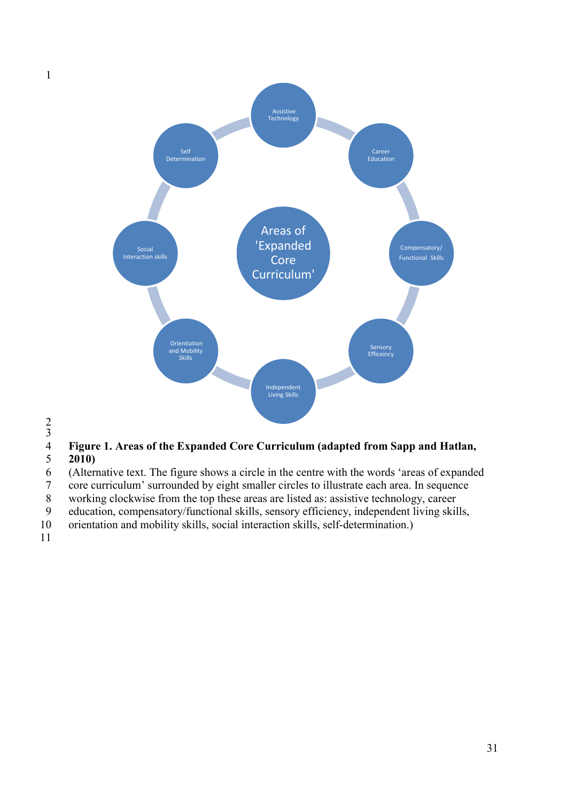

1

# <span id="page-31-0"></span>Figure 1. Areas of the Expanded Core Curriculum (adapted from Sapp and Hatlan, 2010)<br>6 (Alternative text. The figure shows a circle in the centre with the words 'areas of expande 5 **2010)**

6 (Alternative text. The figure shows a circle in the centre with the words 'areas of expanded core curriculum' surrounded by eight smaller circles to illustrate each area. In sequence

7 core curriculum' surrounded by eight smaller circles to illustrate each area. In sequence<br>8 working clockwise from the top these areas are listed as: assistive technology, career

working clockwise from the top these areas are listed as: assistive technology, career

9 education, compensatory/functional skills, sensory efficiency, independent living skills,

10 orientation and mobility skills, social interaction skills, self-determination.)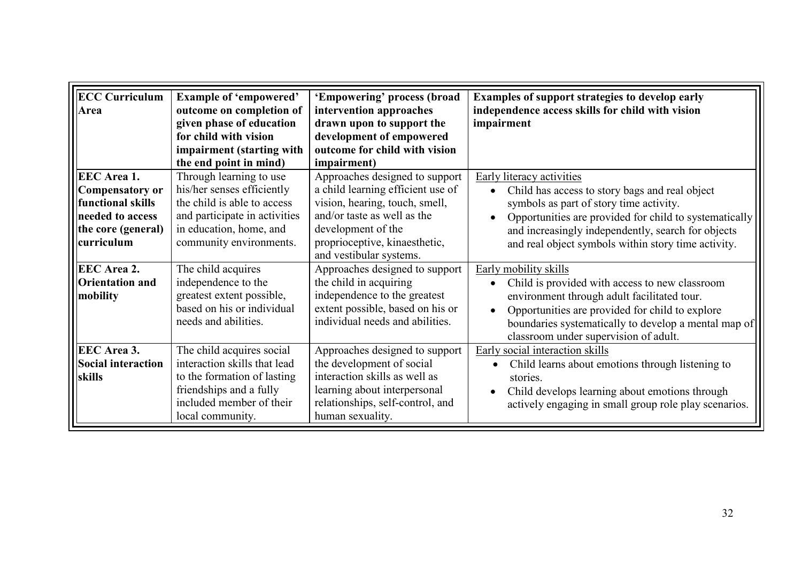| <b>ECC Curriculum</b><br>Area                                                                                      | <b>Example of 'empowered'</b><br>outcome on completion of<br>given phase of education<br>for child with vision<br>impairment (starting with<br>the end point in mind)       | 'Empowering' process (broad<br>intervention approaches<br>drawn upon to support the<br>development of empowered<br>outcome for child with vision<br><i>impairment</i> )                                                | <b>Examples of support strategies to develop early</b><br>independence access skills for child with vision<br>impairment                                                                                                                                                                      |
|--------------------------------------------------------------------------------------------------------------------|-----------------------------------------------------------------------------------------------------------------------------------------------------------------------------|------------------------------------------------------------------------------------------------------------------------------------------------------------------------------------------------------------------------|-----------------------------------------------------------------------------------------------------------------------------------------------------------------------------------------------------------------------------------------------------------------------------------------------|
| <b>EEC</b> Area 1.<br>Compensatory or<br>functional skills<br>needed to access<br>the core (general)<br>curriculum | Through learning to use<br>his/her senses efficiently<br>the child is able to access<br>and participate in activities<br>in education, home, and<br>community environments. | Approaches designed to support<br>a child learning efficient use of<br>vision, hearing, touch, smell,<br>and/or taste as well as the<br>development of the<br>proprioceptive, kinaesthetic,<br>and vestibular systems. | Early literacy activities<br>Child has access to story bags and real object<br>symbols as part of story time activity.<br>Opportunities are provided for child to systematically<br>and increasingly independently, search for objects<br>and real object symbols within story time activity. |
| <b>EEC</b> Area 2.<br><b>Orientation and</b><br>mobility                                                           | The child acquires<br>independence to the<br>greatest extent possible,<br>based on his or individual<br>needs and abilities.                                                | Approaches designed to support<br>the child in acquiring<br>independence to the greatest<br>extent possible, based on his or<br>individual needs and abilities.                                                        | Early mobility skills<br>Child is provided with access to new classroom<br>environment through adult facilitated tour.<br>Opportunities are provided for child to explore<br>$\bullet$<br>boundaries systematically to develop a mental map of<br>classroom under supervision of adult.       |
| <b>EEC</b> Area 3.<br>Social interaction<br>skills                                                                 | The child acquires social<br>interaction skills that lead<br>to the formation of lasting<br>friendships and a fully<br>included member of their<br>local community.         | Approaches designed to support<br>the development of social<br>interaction skills as well as<br>learning about interpersonal<br>relationships, self-control, and<br>human sexuality.                                   | Early social interaction skills<br>Child learns about emotions through listening to<br>stories.<br>Child develops learning about emotions through<br>actively engaging in small group role play scenarios.                                                                                    |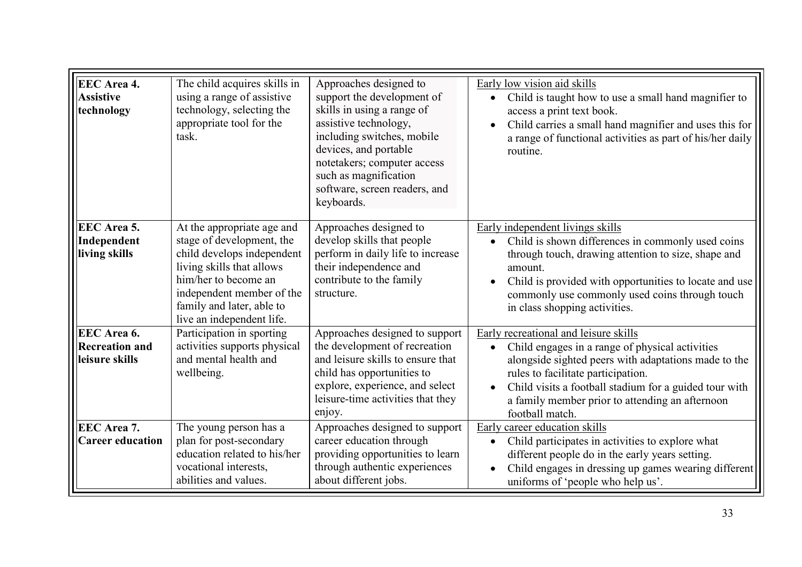| <b>EEC</b> Area 4.<br><b>Assistive</b><br>technology   | The child acquires skills in<br>using a range of assistive<br>technology, selecting the<br>appropriate tool for the<br>task.                                                                                                      | Approaches designed to<br>support the development of<br>skills in using a range of<br>assistive technology,<br>including switches, mobile<br>devices, and portable<br>notetakers; computer access<br>such as magnification<br>software, screen readers, and<br>keyboards. | Early low vision aid skills<br>Child is taught how to use a small hand magnifier to<br>access a print text book.<br>Child carries a small hand magnifier and uses this for<br>a range of functional activities as part of his/her daily<br>routine.                                                                    |
|--------------------------------------------------------|-----------------------------------------------------------------------------------------------------------------------------------------------------------------------------------------------------------------------------------|---------------------------------------------------------------------------------------------------------------------------------------------------------------------------------------------------------------------------------------------------------------------------|------------------------------------------------------------------------------------------------------------------------------------------------------------------------------------------------------------------------------------------------------------------------------------------------------------------------|
| <b>EEC</b> Area 5.<br>Independent<br>living skills     | At the appropriate age and<br>stage of development, the<br>child develops independent<br>living skills that allows<br>him/her to become an<br>independent member of the<br>family and later, able to<br>live an independent life. | Approaches designed to<br>develop skills that people<br>perform in daily life to increase<br>their independence and<br>contribute to the family<br>structure.                                                                                                             | Early independent livings skills<br>Child is shown differences in commonly used coins<br>through touch, drawing attention to size, shape and<br>amount.<br>Child is provided with opportunities to locate and use<br>commonly use commonly used coins through touch<br>in class shopping activities.                   |
| EEC Area 6.<br><b>Recreation and</b><br>leisure skills | Participation in sporting<br>activities supports physical<br>and mental health and<br>wellbeing.                                                                                                                                  | Approaches designed to support<br>the development of recreation<br>and leisure skills to ensure that<br>child has opportunities to<br>explore, experience, and select<br>leisure-time activities that they<br>enjoy.                                                      | Early recreational and leisure skills<br>Child engages in a range of physical activities<br>alongside sighted peers with adaptations made to the<br>rules to facilitate participation.<br>Child visits a football stadium for a guided tour with<br>a family member prior to attending an afternoon<br>football match. |
| <b>EEC</b> Area 7.<br><b>Career education</b>          | The young person has a<br>plan for post-secondary<br>education related to his/her<br>vocational interests,<br>abilities and values.                                                                                               | Approaches designed to support<br>career education through<br>providing opportunities to learn<br>through authentic experiences<br>about different jobs.                                                                                                                  | Early career education skills<br>Child participates in activities to explore what<br>$\bullet$<br>different people do in the early years setting.<br>Child engages in dressing up games wearing different<br>uniforms of 'people who help us'.                                                                         |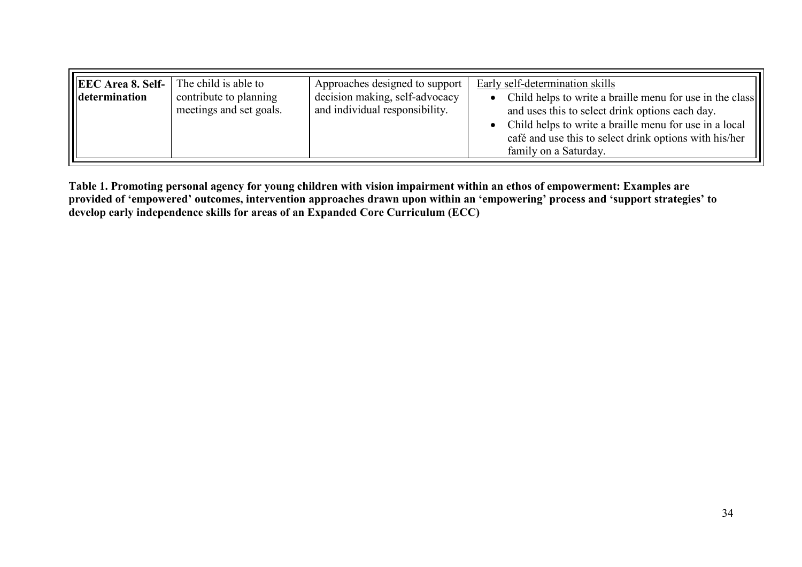| EEC Area 8. Self-<br>The child is able to<br>contribute to planning<br>determination<br>meetings and set goals. | Approaches designed to support<br>decision making, self-advocacy<br>and individual responsibility. | Early self-determination skills<br>Child helps to write a braille menu for use in the class<br>and uses this to select drink options each day.<br>Child helps to write a braille menu for use in a local<br>café and use this to select drink options with his/her<br>family on a Saturday. |
|-----------------------------------------------------------------------------------------------------------------|----------------------------------------------------------------------------------------------------|---------------------------------------------------------------------------------------------------------------------------------------------------------------------------------------------------------------------------------------------------------------------------------------------|
|-----------------------------------------------------------------------------------------------------------------|----------------------------------------------------------------------------------------------------|---------------------------------------------------------------------------------------------------------------------------------------------------------------------------------------------------------------------------------------------------------------------------------------------|

**Table 1. Promoting personal agency for young children with vision impairment within an ethos of empowerment: Examples are provided of 'empowered' outcomes, intervention approaches drawn upon within an 'empowering' process and 'support strategies' to develop early independence skills for areas of an Expanded Core Curriculum (ECC)**